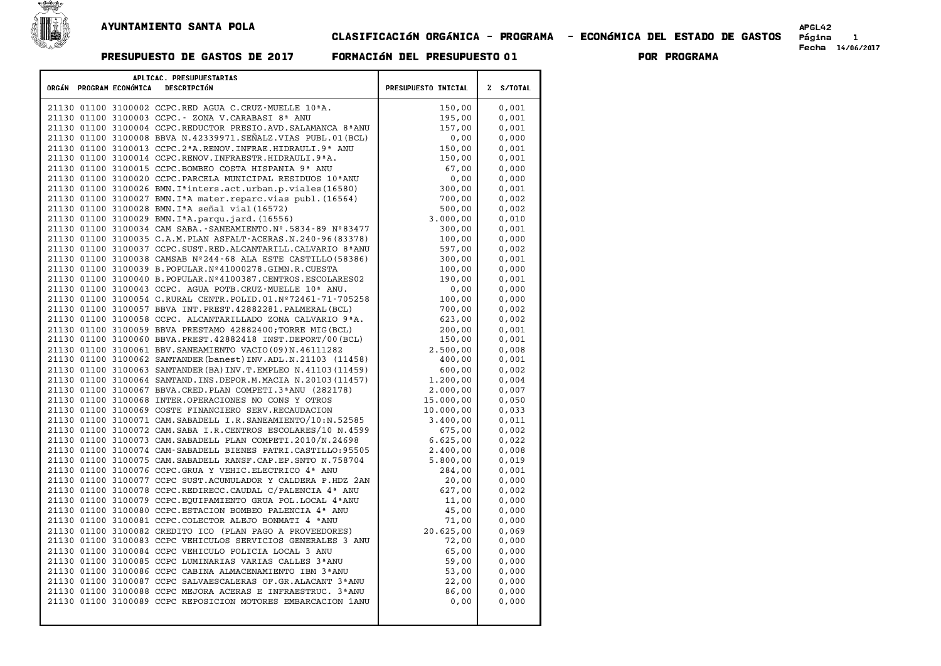

## CLASIFICACIøN ORG¶NICA - PROGRAMA - ECONøMICA DEL ESTADO DE GASTOS P£gina <sup>1</sup> Fecha 14/06/2017 PRESUPUESTO DE GASTOS DE <sup>2017</sup> FORMACIøN DEL PRESUPUESTO <sup>01</sup> POR PROGRAMA

|  |                         | APLICAC. PRESUPUESTARIAS                                                    |                            |           |
|--|-------------------------|-----------------------------------------------------------------------------|----------------------------|-----------|
|  | ORGÁN PROGRAM ECONÓMICA | DESCRIPCIÓN                                                                 | <b>PRESUPUESTO INICIAL</b> | Z S/TOTAL |
|  |                         | 21130 01100 3100002 CCPC.RED AGUA C.CRUZ-MUELLE 10 <sup>ª</sup> A.          | 150,00                     | 0,001     |
|  |                         | 21130 01100 3100003 CCPC. - ZONA V.CARABASI 8ª ANU                          | 195,00                     | 0,001     |
|  |                         | 21130 01100 3100004 CCPC.REDUCTOR PRESIO.AVD.SALAMANCA 8ªANU                | 157,00                     | 0,001     |
|  |                         | 21130 01100 3100008 BBVA N.42339971.SEÑALZ.VIAS PUBL.01(BCL)                | 0,00                       | 0,000     |
|  |                         | 21130 01100 3100013 CCPC.2*A.RENOV.INFRAE.HIDRAULI.9* ANU                   | 150,00                     | 0,001     |
|  |                         | 21130 01100 3100014 CCPC.RENOV.INFRAESTR.HIDRAULI.9ªA.                      | 150,00                     | 0,001     |
|  |                         | 21130 01100 3100015 CCPC.BOMBEO COSTA HISPANIA 9ª ANU                       | 67,00                      | 0,000     |
|  |                         | 21130 01100 3100020 CCPC. PARCELA MUNICIPAL RESIDUOS 10ª ANU                | 0,00                       | 0,000     |
|  |                         | 21130 01100 3100026 BMN. I <sup>a</sup> inters.act.urban.p.viales(16580)    | 300,00                     | 0,001     |
|  |                         | 21130 01100 3100027 BMN. I <sup>ª</sup> A mater. reparc. vias publ. (16564) | 700,00                     | 0,002     |
|  |                         | 21130 01100 3100028 BMN. IªA señal vial (16572)                             | 500,00                     | 0,002     |
|  |                         | 21130 01100 3100029 BMN. I <sup>ª</sup> A. parqu. jard. (16556)             | 3.000,00                   | 0,010     |
|  |                         | 21130 01100 3100034 CAM SABA.-SANEAMIENTO.Nº.5834-89 Nº83477                | 300,00                     | 0.001     |
|  |                         | 21130 01100 3100035 C.A.M. PLAN ASFALT-ACERAS.N. 240-96 (83378)             | 100,00                     | 0,000     |
|  |                         | 21130 01100 3100037 CCPC.SUST.RED.ALCANTARILL.CALVARIO 8ª ANU               | 597,00                     | 0,002     |
|  |                         | 21130 01100 3100038 CAMSAB Nº244-68 ALA ESTE CASTILLO (58386)               | 300,00                     | 0,001     |
|  |                         | 21130 01100 3100039 B.POPULAR.Nº41000278.GIMN.R.CUESTA                      | 100,00                     | 0,000     |
|  |                         | 21130 01100 3100040 B.POPULAR.Nº4100387.CENTROS.ESCOLARES02                 | 190,00                     | 0,001     |
|  |                         | 21130 01100 3100043 CCPC. AGUA POTB.CRUZ-MUELLE 10 <sup>ª</sup> ANU.        | 0,00                       | 0,000     |
|  |                         | 21130 01100 3100054 C.RURAL CENTR.POLID.01.Nº72461-71-705258                | 100,00                     | 0,000     |
|  |                         | 21130 01100 3100057 BBVA INT.PREST.42882281.PALMERAL (BCL)                  | 700,00                     | 0.002     |
|  |                         | 21130 01100 3100058 CCPC. ALCANTARILLADO ZONA CALVARIO 9ªA.                 | 623,00                     | 0,002     |
|  |                         | 21130 01100 3100059 BBVA PRESTAMO 42882400; TORRE MIG (BCL)                 | 200,00                     | 0,001     |
|  |                         | 21130 01100 3100060 BBVA.PREST.42882418 INST.DEPORT/00(BCL)                 | 150,00                     | 0,001     |
|  |                         | 21130 01100 3100061 BBV. SANEAMIENTO VACIO (09) N. 46111282                 | 2.500,00                   | 0,008     |
|  |                         | 21130 01100 3100062 SANTANDER (banest) INV.ADL.N.21103 (11458)              | 400,00                     | 0,001     |
|  |                         | 21130 01100 3100063 SANTANDER (BA) INV.T.EMPLEO N.41103 (11459)             | 600,00                     | 0,002     |
|  |                         | 21130 01100 3100064 SANTAND. INS. DEPOR. M. MACIA N. 20103 (11457)          | 1,200,00                   | 0,004     |
|  |                         | 21130 01100 3100067 BBVA.CRED.PLAN COMPETI.3ªANU (282178)                   | 2.000,00                   | 0.007     |
|  |                         | 21130 01100 3100068 INTER.OPERACIONES NO CONS Y OTROS                       | 15,000,00                  | 0,050     |
|  |                         | 21130 01100 3100069 COSTE FINANCIERO SERV.RECAUDACION                       | 10.000,00                  | 0,033     |
|  |                         | 21130 01100 3100071 CAM. SABADELL I.R. SANEAMIENTO/10:N. 52585              | 3.400,00                   | 0,011     |
|  |                         | 21130 01100 3100072 CAM.SABA I.R.CENTROS ESCOLARES/10 N.4599                | 675,00                     | 0,002     |
|  |                         | 21130 01100 3100073 CAM. SABADELL PLAN COMPETI.2010/N.24698                 | 6.625,00                   | 0,022     |
|  |                         | 21130 01100 3100074 CAM-SABADELL BIENES PATRI.CASTILLO:95505                | 2,400,00                   | 0,008     |
|  |                         | 21130 01100 3100075 CAM. SABADELL RANSF. CAP. EP. SNTO N. 758704            | 5.800,00                   | 0,019     |
|  |                         | 21130 01100 3100076 CCPC.GRUA Y VEHIC.ELECTRICO 4ª ANU                      | 284,00                     | 0.001     |
|  |                         | 21130 01100 3100077 CCPC SUST.ACUMULADOR Y CALDERA P.HDZ 2AN                | 20,00                      | 0,000     |
|  |                         | 21130 01100 3100078 CCPC.REDIRECC.CAUDAL C/PALENCIA 4ª ANU                  | 627,00                     | 0,002     |
|  |                         | 21130 01100 3100079 CCPC. EQUIPAMIENTO GRUA POL. LOCAL 4ª ANU               | 11,00                      | 0,000     |
|  |                         | 21130 01100 3100080 CCPC.ESTACION BOMBEO PALENCIA 4ª ANU                    | 45,00                      | 0,000     |
|  |                         | 21130 01100 3100081 CCPC. COLECTOR ALEJO BONMATI 4 ªANU                     | 71,00                      | 0,000     |
|  |                         | 21130 01100 3100082 CREDITO ICO (PLAN PAGO A PROVEEDORES)                   | 20.625,00                  | 0,069     |
|  |                         | 21130 01100 3100083 CCPC VEHICULOS SERVICIOS GENERALES 3 ANU                | 72,00                      | 0,000     |
|  |                         | 21130 01100 3100084 CCPC VEHICULO POLICIA LOCAL 3 ANU                       | 65,00                      | 0.000     |
|  |                         | 21130 01100 3100085 CCPC LUMINARIAS VARIAS CALLES 3ª ANU                    | 59,00                      | 0,000     |
|  |                         | 21130 01100 3100086 CCPC CABINA ALMACENAMIENTO IBM 3ªANU                    | 53,00                      | 0,000     |
|  |                         | 21130 01100 3100087 CCPC SALVAESCALERAS OF.GR.ALACANT 3ªANU                 | 22,00                      | 0,000     |
|  |                         | 21130 01100 3100088 CCPC MEJORA ACERAS E INFRAESTRUC. 3ªANU                 | 86,00                      | 0,000     |
|  |                         | 21130 01100 3100089 CCPC REPOSICION MOTORES EMBARCACION 1ANU                | 0,00                       | 0,000     |
|  |                         |                                                                             |                            |           |
|  |                         |                                                                             |                            |           |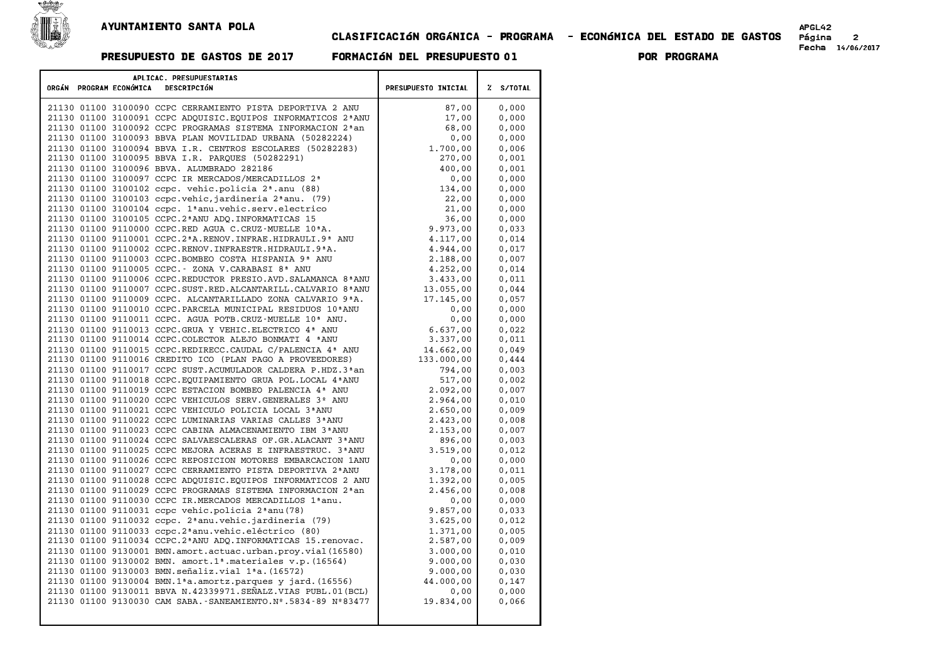

## CLASIFICACIøN ORG¶NICA - PROGRAMA - ECONøMICA DEL ESTADO DE GASTOS P£gina <sup>2</sup> Fecha 14/06/2017 PRESUPUESTO DE GASTOS DE <sup>2017</sup> FORMACIøN DEL PRESUPUESTO <sup>01</sup> POR PROGRAMA

| APLICAC. PRESUPUESTARIAS |                                                                                                             |                            |                |  |
|--------------------------|-------------------------------------------------------------------------------------------------------------|----------------------------|----------------|--|
| ORGÁN PROGRAM ECONÓMICA  | DESCRIPCIÓN                                                                                                 | <b>PRESUPUESTO INICIAL</b> | Z S/TOTAL      |  |
|                          |                                                                                                             |                            |                |  |
|                          | 21130 01100 3100090 CCPC CERRAMIENTO PISTA DEPORTIVA 2 ANU                                                  | 87,00                      | 0,000          |  |
|                          | 21130 01100 3100091 CCPC ADOUISIC. EOUIPOS INFORMATICOS 2ª ANU                                              | 17,00                      | 0,000          |  |
|                          | 21130 01100 3100092 CCPC PROGRAMAS SISTEMA INFORMACION 2 <sup>ª</sup> an                                    | 68,00                      | 0,000          |  |
|                          | 21130 01100 3100093 BBVA PLAN MOVILIDAD URBANA (50282224)                                                   | 0,00                       | 0,000          |  |
|                          | 21130 01100 3100094 BBVA I.R. CENTROS ESCOLARES (50282283)                                                  | 1.700,00                   | 0,006          |  |
|                          | 21130 01100 3100095 BBVA I.R. PARQUES (50282291)                                                            | 270,00                     | 0,001          |  |
|                          | 21130 01100 3100096 BBVA. ALUMBRADO 282186                                                                  | 400,00                     | 0,001          |  |
|                          | 21130 01100 3100097 CCPC IR MERCADOS/MERCADILLOS 2ª                                                         | 0,00                       | 0,000          |  |
|                          | 21130 01100 3100102 ccpc. vehic.policia 2 <sup>ª</sup> .anu (88)                                            | 134,00                     | 0,000          |  |
|                          | 21130 01100 3100103 ccpc.vehic, jardineria 2ªanu. (79)                                                      | 22,00                      | 0,000          |  |
|                          | 21130 01100 3100104 ccpc. 1ªanu.vehic.serv.electrico<br>21130 01100 3100105 CCPC.2ªANU ADQ. INFORMATICAS 15 | 21,00<br>36,00             | 0,000<br>0,000 |  |
|                          | 21130 01100 9110000 CCPC.RED AGUA C.CRUZ-MUELLE 10ªA.                                                       | 9.973,00                   | 0,033          |  |
|                          | 21130 01100 9110001 CCPC.2 <sup>ª</sup> A.RENOV.INFRAE.HIDRAULI.9 <sup>ª</sup> ANU                          | 4.117,00                   | 0,014          |  |
|                          | 21130 01100 9110002 CCPC.RENOV.INFRAESTR.HIDRAULI.9ªA.                                                      | 4.944,00                   | 0,017          |  |
|                          | 21130 01100 9110003 CCPC.BOMBEO COSTA HISPANIA 9ª ANU                                                       | 2.188,00                   | 0,007          |  |
|                          | 21130 01100 9110005 CCPC. - ZONA V.CARABASI 8ª ANU                                                          | 4.252,00                   | 0,014          |  |
|                          | 21130 01100 9110006 CCPC.REDUCTOR PRESIO.AVD. SALAMANCA 8ª ANU                                              | 3.433,00                   | 0,011          |  |
|                          | 21130 01100 9110007 CCPC.SUST.RED.ALCANTARILL.CALVARIO 8ªANU                                                | 13.055,00                  | 0.044          |  |
|                          | 21130 01100 9110009 CCPC. ALCANTARILLADO ZONA CALVARIO 9ªA.                                                 | 17.145,00                  | 0,057          |  |
|                          | 21130 01100 9110010 CCPC. PARCELA MUNICIPAL RESIDUOS 10ª ANU                                                | 0,00                       | 0.000          |  |
|                          | 21130 01100 9110011 CCPC. AGUA POTB.CRUZ-MUELLE 10 <sup>ª</sup> ANU.                                        | 0,00                       | 0,000          |  |
|                          | 21130 01100 9110013 CCPC.GRUA Y VEHIC.ELECTRICO 4ª ANU                                                      | 6.637,00                   | 0.022          |  |
|                          | 21130 01100 9110014 CCPC.COLECTOR ALEJO BONMATI 4 ªANU                                                      | 3.337,00                   | 0,011          |  |
|                          | 21130 01100 9110015 CCPC.REDIRECC.CAUDAL C/PALENCIA 4ª ANU                                                  | 14.662,00                  | 0.049          |  |
|                          | 21130 01100 9110016 CREDITO ICO (PLAN PAGO A PROVEEDORES)                                                   | 133.000,00                 | 0,444          |  |
|                          | 21130 01100 9110017 CCPC SUST.ACUMULADOR CALDERA P.HDZ.3 <sup>a</sup> an                                    | 794,00                     | 0.003          |  |
|                          | 21130 01100 9110018 CCPC.EQUIPAMIENTO GRUA POL.LOCAL 4ªANU                                                  | 517,00                     | 0,002          |  |
|                          | 21130 01100 9110019 CCPC ESTACION BOMBEO PALENCIA 4ª ANU                                                    | 2.092,00                   | 0.007          |  |
|                          | 21130 01100 9110020 CCPC VEHICULOS SERV. GENERALES 3º ANU                                                   | 2.964,00                   | 0,010          |  |
|                          | 21130 01100 9110021 CCPC VEHICULO POLICIA LOCAL 3ªANU                                                       | 2.650,00                   | 0.009          |  |
|                          | 21130 01100 9110022 CCPC LUMINARIAS VARIAS CALLES 3ª ANU                                                    | 2.423,00                   | 0,008          |  |
|                          | 21130 01100 9110023 CCPC CABINA ALMACENAMIENTO IBM 3ªANU                                                    | 2.153,00                   | 0.007          |  |
|                          | 21130 01100 9110024 CCPC SALVAESCALERAS OF. GR. ALACANT 3 ANU                                               | 896,00                     | 0,003          |  |
|                          | 21130 01100 9110025 CCPC MEJORA ACERAS E INFRAESTRUC. 3ªANU                                                 | 3.519,00                   | 0,012          |  |
|                          | 21130 01100 9110026 CCPC REPOSICION MOTORES EMBARCACION 1ANU                                                | 0,00                       | 0,000          |  |
|                          | 21130 01100 9110027 CCPC CERRAMIENTO PISTA DEPORTIVA 2ªANU                                                  | 3.178,00                   | 0.011          |  |
|                          | 21130 01100 9110028 CCPC ADQUISIC. EQUIPOS INFORMATICOS 2 ANU                                               | 1.392,00                   | 0,005          |  |
|                          | 21130 01100 9110029 CCPC PROGRAMAS SISTEMA INFORMACION 2ªan                                                 | 2.456,00                   | 0.008          |  |
|                          | 21130 01100 9110030 CCPC IR.MERCADOS MERCADILLOS 1ªanu.                                                     | 0,00                       | 0,000          |  |
|                          | 21130 01100 9110031 ccpc vehic.policia $2^a$ anu (78)                                                       | 9.857,00                   | 0.033          |  |
|                          | 21130 01100 9110032 ccpc. 2ªanu.vehic.jardineria (79)                                                       | 3.625,00                   | 0,012          |  |
|                          | 21130 01100 9110033 ccpc.2 <sup>ª</sup> anu.vehic.eléctrico (80)                                            | 1,371,00                   | 0,005          |  |
|                          | 21130 01100 9110034 CCPC.2 <sup>ª</sup> ANU ADQ. INFORMATICAS 15. renovac.                                  | 2.587,00                   | 0,009          |  |
|                          | 21130 01100 9130001 BMN.amort.actuac.urban.proy.vial(16580)                                                 | 3.000,00                   | 0.010          |  |
|                          | 21130 01100 9130002 BMN. amort.1 <sup>ª</sup> .materiales v.p. (16564)                                      | 9.000,00                   | 0,030          |  |
|                          | 21130 01100 9130003 BMN.señaliz.vial 1ªa. (16572)                                                           | 9.000.00                   | 0.030          |  |
|                          | 21130 01100 9130004 BMN.1ªa.amortz.parques y jard. (16556)                                                  | 44.000,00                  | 0,147          |  |
|                          | 21130 01100 9130011 BBVA N.42339971.SEÑALZ.VIAS PUBL.01(BCL)                                                | 0,00                       | 0,000          |  |
|                          | 21130 01100 9130030 CAM SABA. - SANEAMIENTO. Nº. 5834-89 Nº83477                                            | 19.834,00                  | 0,066          |  |
|                          |                                                                                                             |                            |                |  |
|                          |                                                                                                             |                            |                |  |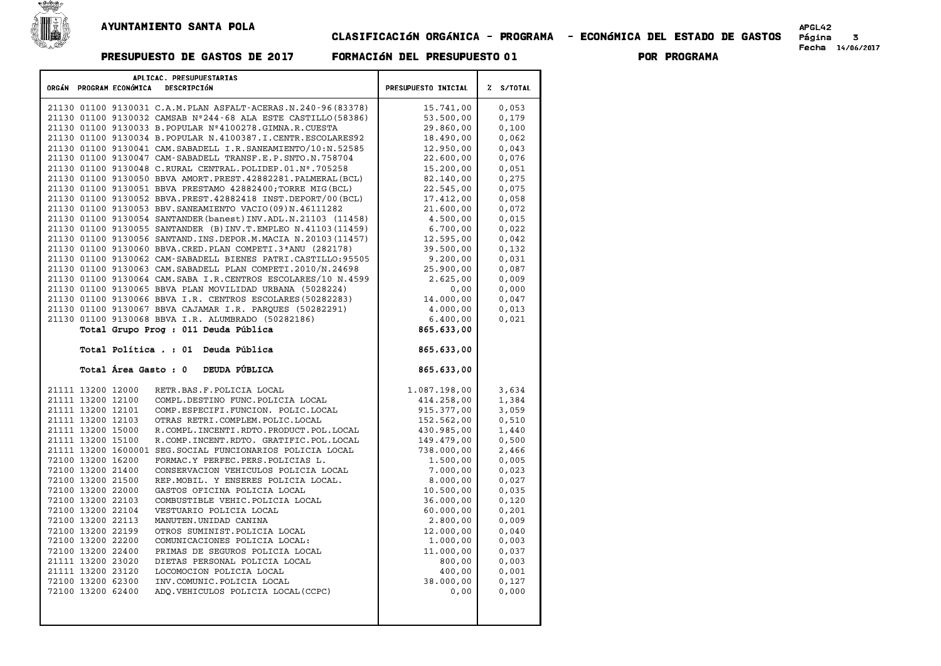

█€

## CLASIFICACIøN ORG¶NICA - PROGRAMA - ECONøMICA DEL ESTADO DE GASTOS P£gina <sup>3</sup> Fecha 14/06/2017 PRESUPUESTO DE GASTOS DE <sup>2017</sup> FORMACIøN DEL PRESUPUESTO <sup>01</sup> POR PROGRAMA

| APLICAC. PRESUPUESTARIAS<br>ORGÁN PROGRAM ECONÓMICA |                                        |                                                                             |                            |                |
|-----------------------------------------------------|----------------------------------------|-----------------------------------------------------------------------------|----------------------------|----------------|
|                                                     |                                        | DESCRIPCIÓN                                                                 | <b>PRESUPUESTO INICIAL</b> | % S/TOTAL      |
|                                                     |                                        | 21130 01100 9130031 C.A.M. PLAN ASFALT-ACERAS.N.240-96(83378)               | 15.741,00                  | 0,053          |
|                                                     |                                        | 21130 01100 9130032 CAMSAB Nº244-68 ALA ESTE CASTILLO (58386)               | 53.500,00                  | 0,179          |
|                                                     |                                        | 21130 01100 9130033 B. POPULAR Nº4100278. GIMNA.R. CUESTA                   | 29.860,00                  | 0,100          |
|                                                     |                                        | 21130 01100 9130034 B.POPULAR N.4100387.I.CENTR.ESCOLARES92                 | 18,490,00                  | 0,062          |
|                                                     |                                        | 21130 01100 9130041 CAM. SABADELL I.R. SANEAMIENTO/10:N.52585               | 12.950,00                  | 0.043          |
|                                                     |                                        | 21130 01100 9130047 CAM-SABADELL TRANSF.E.P.SNTO.N.758704                   | 22.600,00                  | 0,076          |
|                                                     |                                        | 21130 01100 9130048 C.RURAL CENTRAL. POLIDEP.01.Nº.705258                   | 15,200,00                  | 0,051          |
|                                                     |                                        | 21130 01100 9130050 BBVA AMORT.PREST.42882281.PALMERAL(BCL)                 | 82.140,00                  | 0,275          |
|                                                     |                                        | 21130 01100 9130051 BBVA PRESTAMO 42882400; TORRE MIG (BCL)                 | 22.545,00                  | 0,075          |
|                                                     |                                        | 21130 01100 9130052 BBVA.PREST.42882418 INST.DEPORT/00 (BCL)                | 17.412,00                  | 0,058          |
|                                                     |                                        | 21130 01100 9130053 BBV. SANEAMIENTO VACIO (09) N. 46111282                 | 21.600,00                  | 0.072          |
|                                                     |                                        | 21130 01100 9130054 SANTANDER (banest) INV.ADL.N.21103 (11458)              | 4.500,00                   | 0,015          |
|                                                     |                                        | 21130 01100 9130055 SANTANDER (B) INV.T. EMPLEO N.41103 (11459)             | 6.700.00                   | 0.022          |
|                                                     |                                        | 21130 01100 9130056 SANTAND. INS. DEPOR.M. MACIA N. 20103 (11457)           | 12.595,00                  | 0,042          |
|                                                     |                                        | 21130 01100 9130060 BBVA.CRED.PLAN COMPETI.3ªANU (282178)                   | 39.500,00                  | 0.132          |
|                                                     |                                        | 21130 01100 9130062 CAM-SABADELL BIENES PATRI.CASTILLO:95505                | 9.200,00                   | 0,031          |
|                                                     |                                        | 21130 01100 9130063 CAM. SABADELL PLAN COMPETI.2010/N.24698                 | 25.900,00                  | 0,087          |
|                                                     |                                        | 21130 01100 9130064 CAM. SABA I.R. CENTROS ESCOLARES/10 N.4599              | 2.625,00                   | 0,009          |
|                                                     |                                        | 21130 01100 9130065 BBVA PLAN MOVILIDAD URBANA (5028224)                    | 0,00                       | 0,000          |
|                                                     |                                        | 21130 01100 9130066 BBVA I.R. CENTROS ESCOLARES (50282283)                  | 14.000,00                  | 0,047          |
|                                                     |                                        | 21130 01100 9130067 BBVA CAJAMAR I.R. PAROUES (50282291)                    | 4,000,00                   | 0,013          |
|                                                     |                                        | 21130 01100 9130068 BBVA I.R. ALUMBRADO (50282186)                          | 6.400,00                   | 0,021          |
|                                                     |                                        | Total Grupo Prog : 011 Deuda Pública                                        | 865.633,00                 |                |
|                                                     |                                        | Total Política . : 01 Deuda Pública                                         | 865.633,00                 |                |
|                                                     |                                        |                                                                             |                            |                |
|                                                     | Total Área Gasto : 0                   | DEUDA PÚBLICA                                                               | 865.633,00                 |                |
|                                                     |                                        |                                                                             |                            |                |
|                                                     | 21111 13200 12000                      | RETR.BAS.F.POLICIA LOCAL                                                    | 1.087.198,00               | 3,634          |
|                                                     | 21111 13200 12100                      | COMPL.DESTINO FUNC.POLICIA LOCAL                                            | 414.258,00                 | 1,384          |
|                                                     | 21111 13200 12101                      | COMP.ESPECIFI.FUNCION. POLIC.LOCAL                                          | 915.377,00                 | 3,059          |
|                                                     | 21111 13200 12103                      | OTRAS RETRI.COMPLEM.POLIC.LOCAL                                             | 152.562,00                 | 0,510          |
|                                                     | 21111 13200 15000                      | R. COMPL. INCENTI. RDTO. PRODUCT. POL. LOCAL                                | 430.985,00                 | 1,440          |
|                                                     | 21111 13200 15100                      | R.COMP.INCENT.RDTO. GRATIFIC.POL.LOCAL                                      | 149.479,00                 | 0,500          |
|                                                     |                                        | 21111 13200 1600001 SEG. SOCIAL FUNCIONARIOS POLICIA LOCAL                  | 738.000,00                 | 2,466          |
|                                                     | 72100 13200 16200<br>72100 13200 21400 | FORMAC.Y PERFEC.PERS.POLICIAS L.                                            | 1.500,00                   | 0,005          |
|                                                     | 72100 13200 21500                      | CONSERVACION VEHICULOS POLICIA LOCAL<br>REP.MOBIL. Y ENSERES POLICIA LOCAL. | 7.000,00<br>8.000,00       | 0,023<br>0,027 |
|                                                     | 72100 13200 22000                      | GASTOS OFICINA POLICIA LOCAL                                                | 10.500,00                  | 0,035          |
|                                                     | 72100 13200 22103                      | COMBUSTIBLE VEHIC. POLICIA LOCAL                                            | 36.000,00                  | 0,120          |
|                                                     | 72100 13200 22104                      | VESTUARIO POLICIA LOCAL                                                     | 60.000,00                  | 0,201          |
|                                                     | 72100 13200 22113                      | MANUTEN.UNIDAD CANINA                                                       | 2.800,00                   | 0,009          |
|                                                     | 72100 13200 22199                      | OTROS SUMINIST. POLICIA LOCAL                                               | 12.000,00                  | 0,040          |
|                                                     | 72100 13200 22200                      | COMUNICACIONES POLICIA LOCAL:                                               | 1.000,00                   | 0,003          |
|                                                     | 72100 13200 22400                      | PRIMAS DE SEGUROS POLICIA LOCAL                                             | 11.000,00                  | 0,037          |
|                                                     | 21111 13200 23020                      | DIETAS PERSONAL POLICIA LOCAL                                               | 800,00                     | 0,003          |
|                                                     | 21111 13200 23120                      | LOCOMOCION POLICIA LOCAL                                                    | 400,00                     | 0,001          |
|                                                     | 72100 13200 62300                      | INV.COMUNIC.POLICIA LOCAL                                                   | 38.000,00                  | 0,127          |
|                                                     | 72100 13200 62400                      | ADQ.VEHICULOS POLICIA LOCAL (CCPC)                                          | 0,00                       | 0,000          |
|                                                     |                                        |                                                                             |                            |                |
|                                                     |                                        |                                                                             |                            |                |
|                                                     |                                        |                                                                             |                            |                |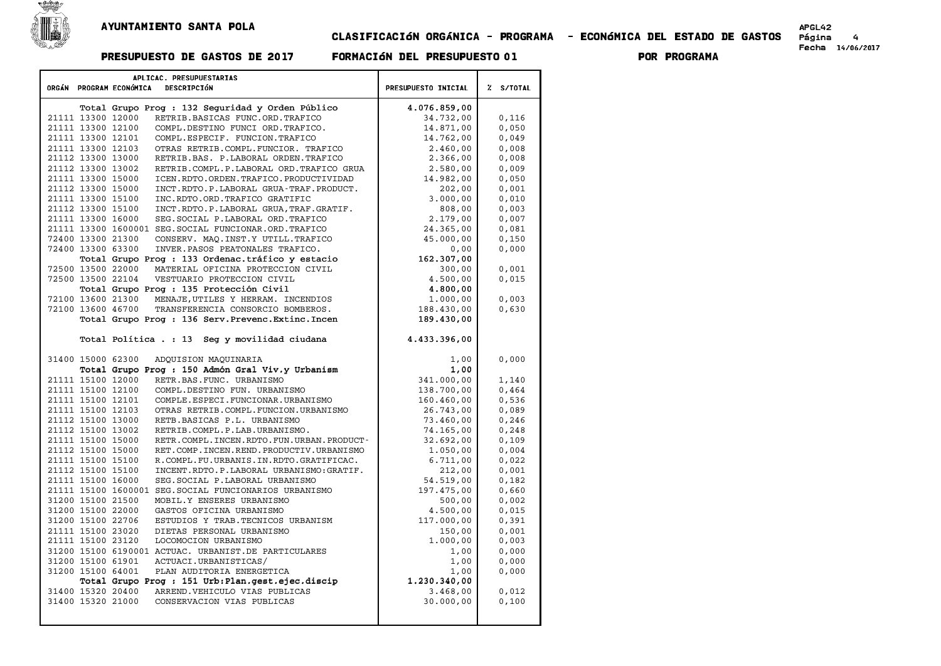

 $\blacksquare$ 

### APGLAS<br>CLASIFICACIÓN ORGÁNICA - PROGRAMA - ECONÓMICA DEL ESTADO DE GASTOS Página 4 PRESUPUESTO DE GASTOS DE <sup>2017</sup> FORMACIøN DEL PRESUPUESTO <sup>01</sup> POR PROGRAMA

APGL42<br>Página 4<br>Fecha 14/06/2017

| APLICAC. PRESUPUESTARIAS                                            |                     |           |
|---------------------------------------------------------------------|---------------------|-----------|
| ORGÁN PROGRAM ECONÓMICA<br>DESCRIPCIÓN                              | PRESUPUESTO INICIAL | % S/TOTAL |
| Total Grupo Prog : 132 Seguridad y Orden Público                    | 4.076.859,00        |           |
| RETRIB.BASICAS FUNC.ORD.TRAFICO<br>21111 13300 12000                | 34.732,00           | 0,116     |
| 21111 13300 12100<br>COMPL.DESTINO FUNCI ORD.TRAFICO.               | 14.871,00           | 0,050     |
| 21111 13300 12101<br>COMPL.ESPECIF. FUNCION.TRAFICO                 | 14.762,00           | 0,049     |
| 21111 13300 12103<br>OTRAS RETRIB.COMPL.FUNCIOR. TRAFICO            | 2,460,00            | 0,008     |
| 21112 13300 13000<br>RETRIB.BAS. P.LABORAL ORDEN.TRAFICO            | 2.366,00            | 0,008     |
| 21112 13300 13002<br>RETRIB.COMPL.P.LABORAL ORD.TRAFICO GRUA        | 2.580,00            | 0,009     |
| 21111 13300 15000<br>ICEN.RDTO.ORDEN.TRAFICO.PRODUCTIVIDAD          | 14.982,00           | 0,050     |
| 21112 13300 15000<br>INCT.RDTO.P.LABORAL GRUA-TRAF.PRODUCT.         | 202,00              | 0,001     |
| 21111 13300 15100<br>INC.RDTO.ORD.TRAFICO GRATIFIC                  | 3.000,00            | 0,010     |
| 21112 13300 15100<br>INCT.RDTO.P.LABORAL GRUA, TRAF.GRATIF.         | 808,00              | 0,003     |
| SEG. SOCIAL P. LABORAL ORD. TRAFICO<br>21111 13300 16000            | 2.179,00            | 0,007     |
| 21111 13300 1600001 SEG. SOCIAL FUNCIONAR. ORD. TRAFICO             | 24.365,00           | 0,081     |
| 72400 13300 21300<br>CONSERV. MAQ. INST.Y UTILL. TRAFICO            | 45.000,00           | 0,150     |
| 72400 13300 63300<br>INVER.PASOS PEATONALES TRAFICO.                | 0,00                | 0,000     |
| Total Grupo Prog : 133 Ordenac.tráfico y estacio                    | 162.307,00          |           |
| 72500 13500 22000<br>MATERIAL OFICINA PROTECCION CIVIL              | 300,00              | 0,001     |
| 72500 13500 22104<br>VESTUARIO PROTECCION CIVIL                     | 4.500,00            | 0,015     |
| Total Grupo Prog : 135 Protección Civil                             | 4.800,00            |           |
| MENAJE, UTILES Y HERRAM. INCENDIOS<br>72100 13600 21300             | 1.000,00            | 0,003     |
| 72100 13600 46700<br>TRANSFERENCIA CONSORCIO BOMBEROS.              | 188.430,00          | 0,630     |
| Total Grupo Prog: 136 Serv. Prevenc. Extinc. Incen                  | 189.430,00          |           |
|                                                                     |                     |           |
| Total Política . : 13 Seg y movilidad ciudana                       | 4.433.396,00        |           |
| 31400 15000 62300<br>ADQUISION MAQUINARIA                           | 1,00                | 0,000     |
| Total Grupo Prog : 150 Admón Gral Viv.y Urbanism                    | 1,00                |           |
| 21111 15100 12000<br>RETR.BAS.FUNC. URBANISMO                       | 341.000,00          | 1,140     |
| 21111 15100 12100<br>COMPL.DESTINO FUN. URBANISMO                   | 138.700,00          | 0,464     |
| 21111 15100 12101<br>COMPLE. ESPECI. FUNCIONAR. URBANISMO           | 160.460,00          | 0,536     |
| 21111 15100 12103<br>OTRAS RETRIB.COMPL.FUNCION.URBANISMO           | 26.743,00           | 0,089     |
| 21112 15100 13000<br>RETB.BASICAS P.L. URBANISMO                    | 73.460,00           | 0,246     |
| 21112 15100 13002<br>RETRIB.COMPL.P.LAB.URBANISMO.                  | 74.165,00           | 0.248     |
| 21111 15100 15000<br>RETR. COMPL. INCEN. RDTO. FUN. URBAN. PRODUCT- | 32.692,00           | 0,109     |
| 21112 15100 15000<br>RET.COMP.INCEN.REND.PRODUCTIV.URBANISMO        | 1.050,00            | 0,004     |
| 21111 15100 15100<br>R.COMPL.FU.URBANIS.IN.RDTO.GRATIFICAC.         | 6.711,00            | 0,022     |
| 21112 15100 15100<br>INCENT.RDTO.P.LABORAL URBANISMO:GRATIF.        | 212,00              | 0,001     |
| 21111 15100 16000<br>SEG. SOCIAL P. LABORAL URBANISMO               | 54.519,00           | 0,182     |
| 21111 15100 1600001 SEG. SOCIAL FUNCIONARIOS URBANISMO              | 197.475,00          | 0,660     |
| 31200 15100 21500<br>MOBIL.Y ENSERES URBANISMO                      | 500,00              | 0,002     |
| 31200 15100 22000<br>GASTOS OFICINA URBANISMO                       | 4.500,00            | 0,015     |
| 31200 15100 22706<br>ESTUDIOS Y TRAB. TECNICOS URBANISM             | 117.000,00          | 0,391     |
| 21111 15100 23020<br>DIETAS PERSONAL URBANISMO                      | 150,00              | 0,001     |
| 21111 15100 23120<br>LOCOMOCION URBANISMO                           | 1.000,00            | 0,003     |
| 31200 15100 6190001 ACTUAC. URBANIST.DE PARTICULARES                | 1,00                | 0,000     |
| 31200 15100 61901<br>ACTUACI.URBANISTICAS/                          | 1,00                | 0,000     |
| 31200 15100 64001<br>PLAN AUDITORIA ENERGETICA                      | 1,00                | 0,000     |
| Total Grupo Prog : 151 Urb: Plan.gest.ejec.discip                   | 1.230.340,00        |           |
| 31400 15320 20400<br>ARREND. VEHICULO VIAS PUBLICAS                 | 3.468,00            | 0,012     |
| 31400 15320 21000<br>CONSERVACION VIAS PUBLICAS                     | 30,000,00           | 0,100     |
|                                                                     |                     |           |
|                                                                     |                     |           |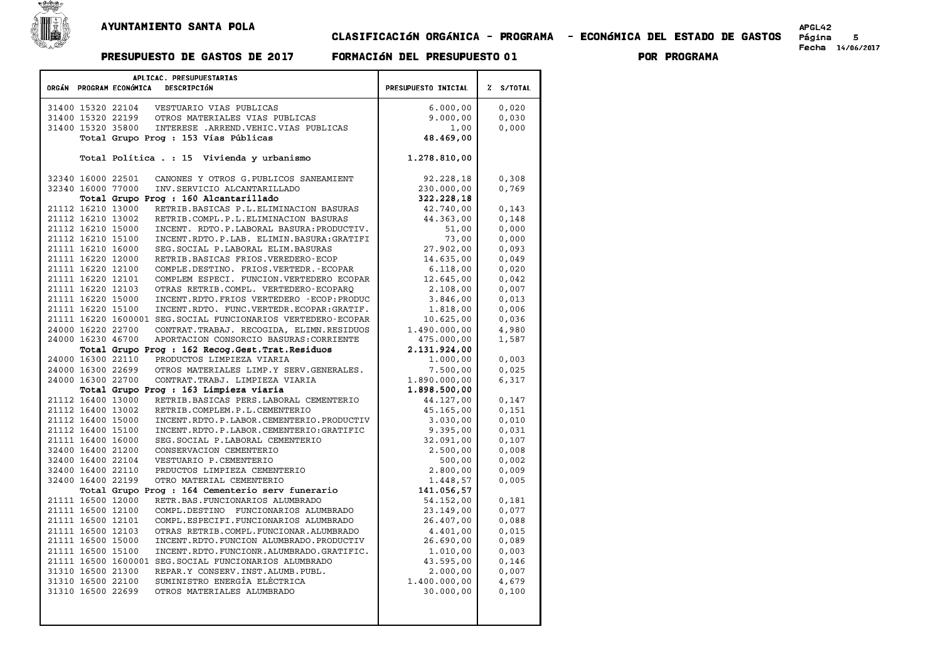

## CLASIFICACIøN ORG¶NICA - PROGRAMA - ECONøMICA DEL ESTADO DE GASTOS P£gina <sup>5</sup> Fecha 14/06/2017 PRESUPUESTO DE GASTOS DE <sup>2017</sup> FORMACIøN DEL PRESUPUESTO <sup>01</sup> POR PROGRAMA

| APLICAC. PRESUPUESTARIAS<br>ORGÁN PROGRAM ECONÓMICA<br>DESCRIPCIÓN | PRESUPUESTO INICIAL | % S/TOTAL |  |  |
|--------------------------------------------------------------------|---------------------|-----------|--|--|
|                                                                    |                     |           |  |  |
| 31400 15320 22104<br>VESTUARIO VIAS PUBLICAS                       | 6.000,00            | 0,020     |  |  |
| 31400 15320 22199<br>OTROS MATERIALES VIAS PUBLICAS                | 9.000,00            | 0,030     |  |  |
| 31400 15320 35800<br>INTERESE .ARREND. VEHIC. VIAS PUBLICAS        | 1,00                | 0,000     |  |  |
| Total Grupo Prog : 153 Vías Públicas                               | 48.469,00           |           |  |  |
|                                                                    |                     |           |  |  |
| Total Política . : 15 Vivienda y urbanismo                         | 1.278.810,00        |           |  |  |
| 32340 16000 22501<br>CANONES Y OTROS G. PUBLICOS SANEAMIENT        | 92.228,18           | 0,308     |  |  |
| 32340 16000 77000<br>INV. SERVICIO ALCANTARILLADO                  | 230.000,00          | 0,769     |  |  |
| Total Grupo Prog : 160 Alcantarillado                              | 322.228,18          |           |  |  |
| 21112 16210 13000<br>RETRIB.BASICAS P.L.ELIMINACION BASURAS        | 42.740,00           | 0,143     |  |  |
| 21112 16210 13002<br>RETRIB.COMPL.P.L.ELIMINACION BASURAS          | 44.363,00           | 0,148     |  |  |
| 21112 16210 15000<br>INCENT. RDTO.P.LABORAL BASURA: PRODUCTIV.     | 51,00               | 0.000     |  |  |
| 21112 16210 15100<br>INCENT.RDTO.P.LAB. ELIMIN.BASURA:GRATIFI      | 73,00               | 0,000     |  |  |
| 21111 16210 16000<br>SEG. SOCIAL P. LABORAL ELIM. BASURAS          | 27.902,00           | 0.093     |  |  |
| 21111 16220 12000<br>RETRIB.BASICAS FRIOS.VEREDERO-ECOP            | 14.635,00           | 0,049     |  |  |
| 21111 16220 12100<br>COMPLE.DESTINO. FRIOS.VERTEDR.-ECOPAR         | 6.118,00            | 0,020     |  |  |
| 21111 16220 12101<br>COMPLEM ESPECI. FUNCION. VERTEDERO ECOPAR     | 12.645,00           | 0,042     |  |  |
| 21111 16220 12103<br>OTRAS RETRIB.COMPL. VERTEDERO-ECOPARO         | 2.108,00            | 0,007     |  |  |
| 21111 16220 15000<br>INCENT.RDTO.FRIOS VERTEDERO - ECOP: PRODUC    | 3.846,00            | 0,013     |  |  |
| 21111 16220 15100<br>INCENT.RDTO. FUNC.VERTEDR.ECOPAR:GRATIF.      | 1.818,00            | 0,006     |  |  |
| 21111 16220 1600001 SEG. SOCIAL FUNCIONARIOS VERTEDERO-ECOPAR      | 10.625,00           | 0,036     |  |  |
| 24000 16220 22700<br>CONTRAT. TRABAJ. RECOGIDA, ELIMN. RESIDUOS    | 1,490,000,00        | 4,980     |  |  |
| 24000 16230 46700<br>APORTACION CONSORCIO BASURAS: CORRIENTE       | 475.000,00          | 1,587     |  |  |
| Total Grupo Prog : 162 Recog. Gest. Trat. Residuos                 | 2.131.924,00        |           |  |  |
| 24000 16300 22110<br>PRODUCTOS LIMPIEZA VIARIA                     | 1,000,00            | 0,003     |  |  |
| 24000 16300 22699<br>OTROS MATERIALES LIMP.Y SERV.GENERALES.       | 7.500,00            | 0,025     |  |  |
| 24000 16300 22700<br>CONTRAT. TRABJ. LIMPIEZA VIARIA               | 1.890.000,00        | 6,317     |  |  |
| Total Grupo Prog : 163 Limpieza viaria                             | 1.898.500,00        |           |  |  |
| 21112 16400 13000<br>RETRIB.BASICAS PERS.LABORAL CEMENTERIO        | 44.127,00           | 0,147     |  |  |
| 21112 16400 13002<br>RETRIB.COMPLEM.P.L.CEMENTERIO                 | 45.165,00           | 0,151     |  |  |
| 21112 16400 15000<br>INCENT.RDTO.P.LABOR.CEMENTERIO.PRODUCTIV      | 3.030,00            | 0,010     |  |  |
| 21112 16400 15100<br>INCENT.RDTO.P.LABOR.CEMENTERIO:GRATIFIC       | 9.395,00            | 0,031     |  |  |
| 21111 16400 16000<br>SEG. SOCIAL P. LABORAL CEMENTERIO             | 32.091,00           | 0,107     |  |  |
| 32400 16400 21200<br>CONSERVACION CEMENTERIO                       | 2.500,00            | 0.008     |  |  |
| 32400 16400 22104<br>VESTUARIO P.CEMENTERIO                        | 500,00              | 0,002     |  |  |
| 32400 16400 22110<br>PRDUCTOS LIMPIEZA CEMENTERIO                  | 2.800,00            | 0,009     |  |  |
| OTRO MATERIAL CEMENTERIO<br>32400 16400 22199                      | 1.448,57            | 0,005     |  |  |
| Total Grupo Prog : 164 Cementerio serv funerario                   | 141.056,57          |           |  |  |
| 21111 16500 12000<br>RETR.BAS.FUNCIONARIOS ALUMBRADO               | 54.152,00           | 0,181     |  |  |
| 21111 16500 12100<br>COMPL.DESTINO FUNCIONARIOS ALUMBRADO          | 23.149,00           | 0.077     |  |  |
| 21111 16500 12101<br>COMPL.ESPECIFI.FUNCIONARIOS ALUMBRADO         | 26.407,00           | 0,088     |  |  |
| 21111 16500 12103<br>OTRAS RETRIB.COMPL.FUNCIONAR.ALUMBRADO        | 4,401,00            | 0,015     |  |  |
| 21111 16500 15000<br>INCENT.RDTO.FUNCION ALUMBRADO.PRODUCTIV       | 26.690,00           | 0,089     |  |  |
| 21111 16500 15100<br>INCENT.RDTO.FUNCIONR.ALUMBRADO.GRATIFIC.      | 1,010,00            | 0,003     |  |  |
| 21111 16500 1600001 SEG. SOCIAL FUNCIONARIOS ALUMBRADO             | 43.595,00           | 0,146     |  |  |
| 31310 16500 21300<br>REPAR.Y CONSERV. INST. ALUMB. PUBL.           | 2,000,00            | 0,007     |  |  |
| 31310 16500 22100<br>SUMINISTRO ENERGÍA ELÉCTRICA                  | 1.400.000,00        | 4,679     |  |  |
| 31310 16500 22699<br>OTROS MATERIALES ALUMBRADO                    | 30.000,00           | 0,100     |  |  |
|                                                                    |                     |           |  |  |
|                                                                    |                     |           |  |  |
|                                                                    |                     |           |  |  |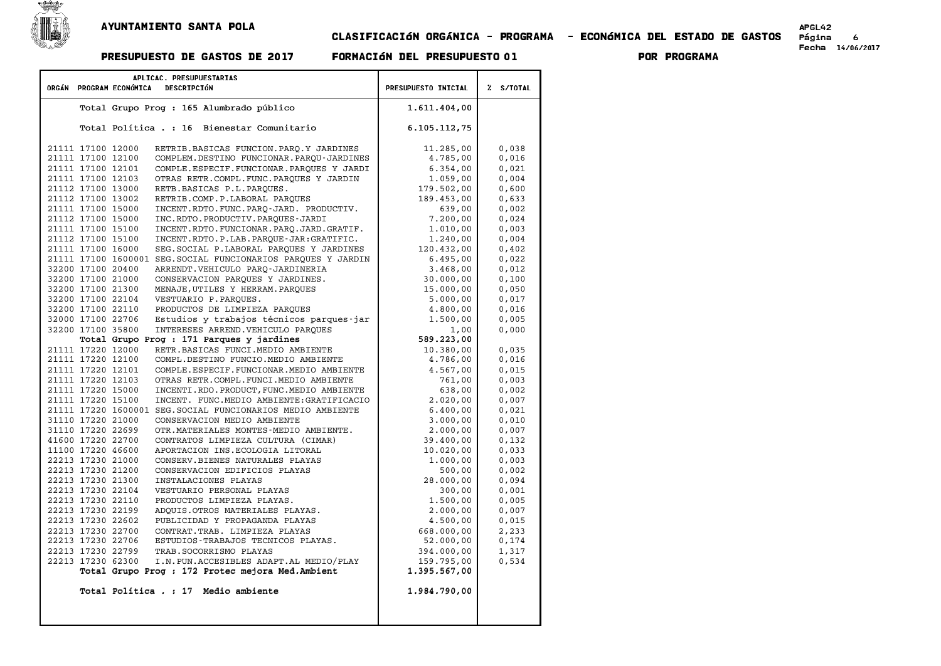

## AYUNTAMIENTO SANTA POLA<br>6 - CLASIFICACIÓN ORGÁNICA - PROGRAMA - ECONÓMICA DEL ESTADO DE GASTOS Página<br>Fecha 14/06/2017 - Formación del presupuesto 01 - POR PROGRAMA

|                   | APLICAC. PRESUPUESTARIAS                                                         |                            |           |
|-------------------|----------------------------------------------------------------------------------|----------------------------|-----------|
|                   | ORGÁN PROGRAM ECONÓMICA<br>DESCRIPCIÓN                                           | <b>PRESUPUESTO INICIAL</b> | % S/TOTAL |
|                   |                                                                                  |                            |           |
|                   | Total Grupo Prog : 165 Alumbrado público                                         | 1.611.404,00               |           |
|                   | Total Politica . : 16 Bienestar Comunitario                                      | 6.105.112,75               |           |
| 21111 17100 12000 | RETRIB.BASICAS FUNCION.PARQ.Y JARDINES                                           | 11.285,00                  | 0,038     |
| 21111 17100 12100 | COMPLEM.DESTINO FUNCIONAR.PARQU-JARDINES                                         | 4.785,00                   | 0,016     |
| 21111 17100 12101 | COMPLE.ESPECIF.FUNCIONAR.PARQUES Y JARDI                                         | 6.354,00                   | 0,021     |
| 21111 17100 12103 | OTRAS RETR.COMPL.FUNC.PARQUES Y JARDIN                                           | 1.059,00                   | 0,004     |
| 21112 17100 13000 | RETB.BASICAS P.L.PARQUES.                                                        | 179.502,00                 | 0,600     |
| 21112 17100 13002 | RETRIB.COMP.P.LABORAL PARQUES                                                    | 189.453,00                 | 0,633     |
| 21111 17100 15000 | INCENT.RDTO.FUNC.PARQ-JARD. PRODUCTIV.                                           | 639,00                     | 0,002     |
| 21112 17100 15000 | INC.RDTO.PRODUCTIV.PARQUES-JARDI                                                 | 7.200,00                   | 0,024     |
| 21111 17100 15100 | INCENT.RDTO.FUNCIONAR.PARQ.JARD.GRATIF.                                          | 1.010,00                   | 0,003     |
| 21112 17100 15100 | INCENT.RDTO.P.LAB.PARQUE-JAR:GRATIFIC.                                           | 1.240,00                   | 0,004     |
| 21111 17100 16000 | SEG. SOCIAL P. LABORAL PARQUES Y JARDINES                                        | 120.432,00                 | 0,402     |
|                   | 21111 17100 1600001 SEG. SOCIAL FUNCIONARIOS PARQUES Y JARDIN                    | 6.495,00                   | 0,022     |
| 32200 17100 20400 | ARRENDT.VEHICULO PARQ-JARDINERIA                                                 | 3.468,00                   | 0.012     |
| 32200 17100 21000 | CONSERVACION PARQUES Y JARDINES.                                                 | 30.000,00                  | 0,100     |
| 32200 17100 21300 | MENAJE, UTILES Y HERRAM. PAROUES                                                 | 15.000,00                  | 0,050     |
| 32200 17100 22104 | VESTUARIO P.PARQUES.                                                             | 5.000,00                   | 0,017     |
| 32200 17100 22110 | PRODUCTOS DE LIMPIEZA PARQUES                                                    | 4.800,00                   | 0,016     |
| 32000 17100 22706 | Estudios y trabajos técnicos parques-jar                                         | 1.500,00                   | 0,005     |
| 32200 17100 35800 | INTERESES ARREND. VEHICULO PAROUES                                               | 1,00<br>589.223,00         | 0,000     |
| 21111 17220 12000 | Total Grupo Prog : 171 Parques y jardines<br>RETR. BASICAS FUNCI. MEDIO AMBIENTE | 10.380,00                  | 0,035     |
| 21111 17220 12100 | COMPL.DESTINO FUNCIO.MEDIO AMBIENTE                                              | 4.786,00                   | 0,016     |
| 21111 17220 12101 | COMPLE.ESPECIF.FUNCIONAR.MEDIO AMBIENTE                                          | 4.567,00                   | 0,015     |
| 21111 17220 12103 | OTRAS RETR.COMPL.FUNCI.MEDIO AMBIENTE                                            | 761,00                     | 0,003     |
| 21111 17220 15000 | INCENTI.RDO.PRODUCT, FUNC.MEDIO AMBIENTE                                         | 638,00                     | 0,002     |
| 21111 17220 15100 | INCENT. FUNC.MEDIO AMBIENTE: GRATIFICACIO                                        | 2.020,00                   | 0,007     |
|                   | 21111 17220 1600001 SEG. SOCIAL FUNCIONARIOS MEDIO AMBIENTE                      | 6.400,00                   | 0,021     |
| 31110 17220 21000 | CONSERVACION MEDIO AMBIENTE                                                      | 3.000,00                   | 0,010     |
| 31110 17220 22699 | OTR. MATERIALES MONTES-MEDIO AMBIENTE.                                           | 2.000,00                   | 0,007     |
| 41600 17220 22700 | CONTRATOS LIMPIEZA CULTURA (CIMAR)                                               | 39.400,00                  | 0,132     |
| 11100 17220 46600 | APORTACION INS. ECOLOGIA LITORAL                                                 | 10.020,00                  | 0,033     |
| 22213 17230 21000 | CONSERV. BIENES NATURALES PLAYAS                                                 | 1.000,00                   | 0,003     |
| 22213 17230 21200 | CONSERVACION EDIFICIOS PLAYAS                                                    | 500,00                     | 0,002     |
| 22213 17230 21300 | INSTALACIONES PLAYAS                                                             | 28.000,00                  | 0,094     |
| 22213 17230 22104 | VESTUARIO PERSONAL PLAYAS                                                        | 300,00                     | 0,001     |
| 22213 17230 22110 | PRODUCTOS LIMPIEZA PLAYAS.                                                       | 1.500,00                   | 0,005     |
| 22213 17230 22199 | ADOUIS.OTROS MATERIALES PLAYAS.                                                  | 2.000,00                   | 0,007     |
| 22213 17230 22602 | PUBLICIDAD Y PROPAGANDA PLAYAS                                                   | 4.500,00                   | 0,015     |
| 22213 17230 22700 | CONTRAT. TRAB. LIMPIEZA PLAYAS                                                   | 668.000,00                 | 2,233     |
| 22213 17230 22706 | ESTUDIOS-TRABAJOS TECNICOS PLAYAS.                                               | 52.000,00                  | 0,174     |
| 22213 17230 22799 | TRAB. SOCORRISMO PLAYAS                                                          | 394.000,00                 | 1,317     |
| 22213 17230 62300 | I.N. PUN. ACCESIBLES ADAPT. AL MEDIO/PLAY                                        | 159.795,00                 | 0,534     |
|                   | Total Grupo Prog : 172 Protec mejora Med. Ambient                                | 1.395.567,00               |           |
|                   | Total Política . : 17 Medio ambiente                                             | 1.984.790,00               |           |
|                   |                                                                                  |                            |           |
|                   |                                                                                  |                            |           |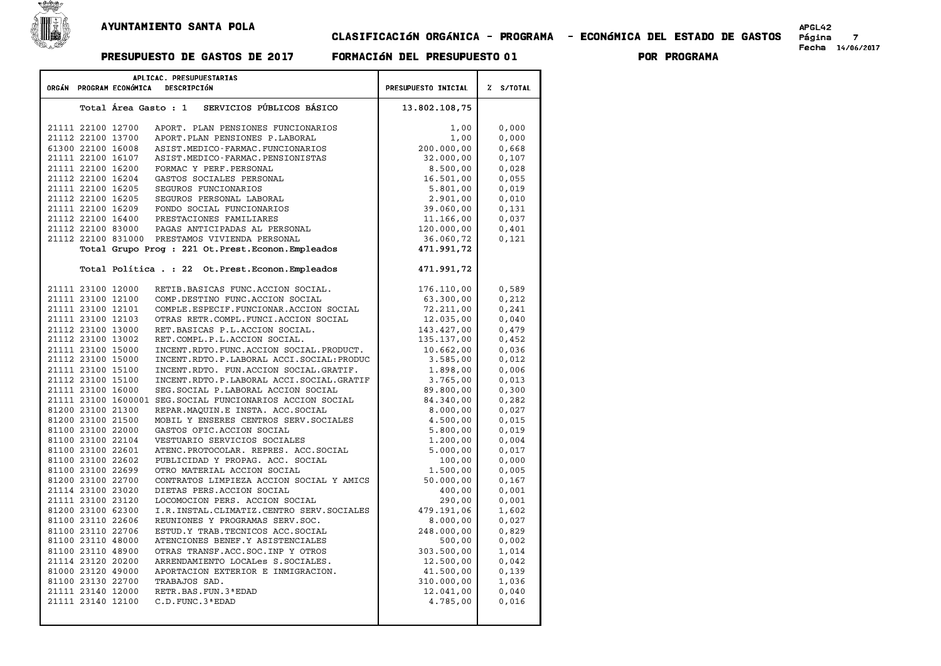

## AYUNTAMIENTO SANTA POLA<br>7 - CLASIFICACIÓN ORGÁNICA - PROGRAMA - ECONÓMICA DEL ESTADO DE GASTOS<br><sup>Fecha 14/06/2017 - Formación del presupuesto 01 - Por programa</sup>

| APLICAC. PRESUPUESTARIAS<br>DESCRIPCIÓN<br>ORGÁN PROGRAM ECONÓMICA |  |  |                                                            |                     | % S/TOTAL |
|--------------------------------------------------------------------|--|--|------------------------------------------------------------|---------------------|-----------|
|                                                                    |  |  |                                                            | PRESUPUESTO INICIAL |           |
|                                                                    |  |  | SERVICIOS PÚBLICOS BÁSICO<br>Total Área Gasto : 1          | 13.802.108,75       |           |
|                                                                    |  |  |                                                            |                     |           |
| 21111 22100 12700                                                  |  |  | APORT. PLAN PENSIONES FUNCIONARIOS                         | 1,00                | 0,000     |
| 21112 22100 13700                                                  |  |  | APORT. PLAN PENSIONES P. LABORAL                           | 1,00                | 0,000     |
| 61300 22100 16008                                                  |  |  | ASIST.MEDICO-FARMAC.FUNCIONARIOS                           | 200,000,00          | 0,668     |
| 21111 22100 16107                                                  |  |  | ASIST.MEDICO-FARMAC.PENSIONISTAS                           | 32.000,00           | 0,107     |
| 21111 22100 16200                                                  |  |  | FORMAC Y PERF. PERSONAL                                    | 8.500,00            | 0,028     |
| 21112 22100 16204                                                  |  |  | GASTOS SOCIALES PERSONAL                                   | 16.501,00           | 0,055     |
| 21111 22100 16205                                                  |  |  | SEGUROS FUNCIONARIOS                                       | 5.801,00            | 0,019     |
| 21112 22100 16205                                                  |  |  | SEGUROS PERSONAL LABORAL                                   | 2.901,00            | 0,010     |
| 21111 22100 16209                                                  |  |  | FONDO SOCIAL FUNCIONARIOS                                  | 39.060,00           | 0,131     |
| 21112 22100 16400                                                  |  |  | PRESTACIONES FAMILIARES                                    | 11.166,00           | 0,037     |
| 21112 22100 83000                                                  |  |  | PAGAS ANTICIPADAS AL PERSONAL                              | 120.000,00          | 0,401     |
|                                                                    |  |  | 21112 22100 831000 PRESTAMOS VIVIENDA PERSONAL             | 36.060,72           | 0,121     |
|                                                                    |  |  | Total Grupo Prog : 221 Ot. Prest. Econon. Empleados        | 471.991,72          |           |
|                                                                    |  |  | Total Política . : 22 Ot. Prest. Econon. Empleados         | 471.991,72          |           |
| 21111 23100 12000                                                  |  |  | RETIB.BASICAS FUNC.ACCION SOCIAL.                          | 176.110,00          | 0,589     |
| 21111 23100 12100                                                  |  |  | COMP.DESTINO FUNC.ACCION SOCIAL                            | 63.300,00           | 0,212     |
| 21111 23100 12101                                                  |  |  | COMPLE.ESPECIF.FUNCIONAR.ACCION SOCIAL                     | 72.211,00           | 0, 241    |
| 21111 23100 12103                                                  |  |  | OTRAS RETR.COMPL.FUNCI.ACCION SOCIAL                       | 12.035,00           | 0,040     |
| 21112 23100 13000                                                  |  |  | RET.BASICAS P.L.ACCION SOCIAL.                             | 143.427,00          | 0,479     |
| 21112 23100 13002                                                  |  |  | RET.COMPL.P.L.ACCION SOCIAL.                               | 135.137,00          | 0,452     |
| 21111 23100 15000                                                  |  |  | INCENT.RDTO.FUNC.ACCION SOCIAL.PRODUCT.                    | 10.662,00           | 0,036     |
| 21112 23100 15000                                                  |  |  | INCENT.RDTO.P.LABORAL ACCI.SOCIAL:PRODUC                   | 3.585,00            | 0,012     |
| 21111 23100 15100                                                  |  |  | INCENT.RDTO. FUN.ACCION SOCIAL.GRATIF.                     | 1.898,00            | 0,006     |
| 21112 23100 15100                                                  |  |  | INCENT.RDTO.P.LABORAL ACCI.SOCIAL.GRATIF                   | 3.765,00            | 0,013     |
| 21111 23100 16000                                                  |  |  | SEG. SOCIAL P. LABORAL ACCION SOCIAL                       | 89.800,00           | 0,300     |
|                                                                    |  |  | 21111 23100 1600001 SEG. SOCIAL FUNCIONARIOS ACCION SOCIAL | 84.340,00           | 0,282     |
| 81200 23100 21300                                                  |  |  | REPAR. MAOUIN. E INSTA. ACC. SOCIAL                        | 8.000,00            | 0,027     |
| 81200 23100 21500                                                  |  |  | MOBIL Y ENSERES CENTROS SERV. SOCIALES                     | 4.500,00            | 0,015     |
| 81100 23100 22000                                                  |  |  | GASTOS OFIC.ACCION SOCIAL                                  | 5,800,00            | 0,019     |
| 81100 23100 22104                                                  |  |  | VESTUARIO SERVICIOS SOCIALES                               | 1.200,00            | 0,004     |
| 81100 23100 22601                                                  |  |  | ATENC. PROTOCOLAR. REPRES. ACC. SOCIAL                     | 5,000,00            | 0,017     |
| 81100 23100 22602                                                  |  |  | PUBLICIDAD Y PROPAG. ACC. SOCIAL                           | 100,00              | 0,000     |
| 81100 23100 22699                                                  |  |  | OTRO MATERIAL ACCION SOCIAL                                | 1,500,00            | 0,005     |
| 81200 23100 22700                                                  |  |  | CONTRATOS LIMPIEZA ACCION SOCIAL Y AMICS                   | 50.000,00           | 0,167     |
| 21114 23100 23020                                                  |  |  | DIETAS PERS.ACCION SOCIAL                                  | 400,00              | 0,001     |
| 21111 23100 23120                                                  |  |  | LOCOMOCION PERS. ACCION SOCIAL                             | 290,00              | 0,001     |
| 81200 23100 62300                                                  |  |  | I.R. INSTAL. CLIMATIZ. CENTRO SERV. SOCIALES               | 479.191,06          | 1,602     |
| 81100 23110 22606                                                  |  |  | REUNIONES Y PROGRAMAS SERV. SOC.                           | 8.000,00            | 0,027     |
| 81100 23110 22706                                                  |  |  | ESTUD.Y TRAB. TECNICOS ACC. SOCIAL                         | 248.000,00          | 0,829     |
| 81100 23110 48000                                                  |  |  | ATENCIONES BENEF.Y ASISTENCIALES                           | 500,00              | 0,002     |
| 81100 23110 48900                                                  |  |  | OTRAS TRANSF.ACC.SOC.INP Y OTROS                           | 303.500,00          | 1,014     |
| 21114 23120 20200                                                  |  |  | ARRENDAMIENTO LOCALes S.SOCIALES.                          | 12.500,00           | 0,042     |
| 81000 23120 49000                                                  |  |  | APORTACION EXTERIOR E INMIGRACION.                         | 41.500,00           | 0,139     |
| 81100 23130 22700                                                  |  |  | TRABAJOS SAD.                                              | 310.000,00          | 1,036     |
| 21111 23140 12000                                                  |  |  | RETR. BAS. FUN. 3 ª EDAD                                   | 12.041,00           | 0,040     |
| 21111 23140 12100                                                  |  |  | C.D. FUNC. 3 ª EDAD                                        | 4.785,00            | 0,016     |
|                                                                    |  |  |                                                            |                     |           |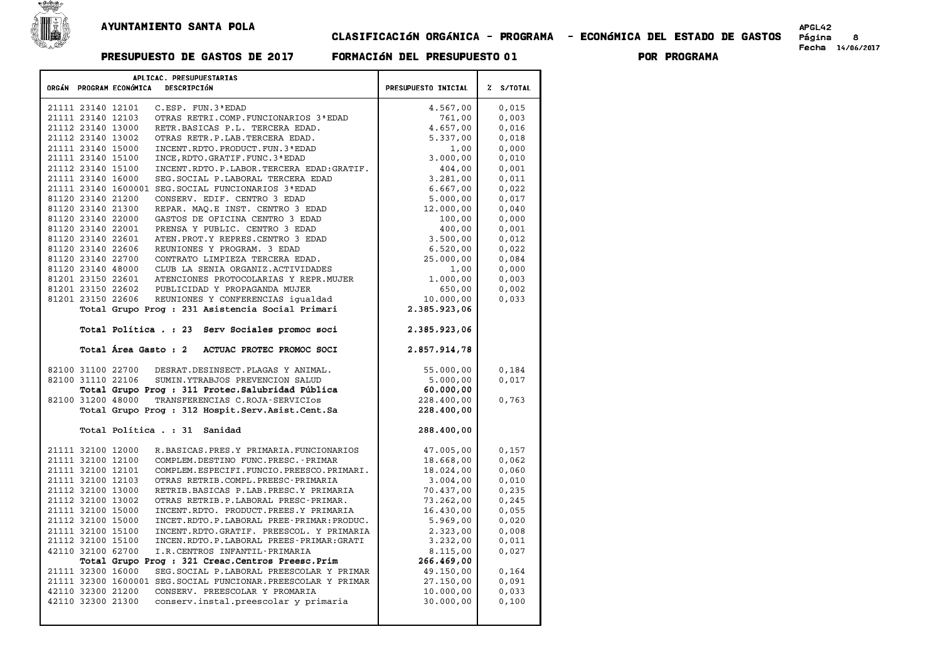

## AYUNTAMIENTO SANTA POLA<br>6 - CLASIFICACIÓN ORGÁNICA - PROGRAMA - ECONÓMICA DEL ESTADO DE GASTOS<br>Fecha 14/06/2017 - Formación del presupuesto 01 - Por programa

# 

| APLICAC. PRESUPUESTARIAS                                                                                    |                            |                |
|-------------------------------------------------------------------------------------------------------------|----------------------------|----------------|
| ORGÁN PROGRAM ECONÓMICA<br>DESCRIPCIÓN                                                                      | <b>PRESUPUESTO INICIAL</b> | Z S/TOTAL      |
|                                                                                                             |                            |                |
| 21111 23140 12101<br>C.ESP. FUN.3 ª EDAD                                                                    | 4.567,00                   | 0,015          |
| 21111 23140 12103<br>OTRAS RETRI.COMP. FUNCIONARIOS 3ª EDAD                                                 | 761,00                     | 0,003          |
| 21112 23140 13000<br>RETR.BASICAS P.L. TERCERA EDAD.                                                        | 4.657,00                   | 0,016          |
| 21112 23140 13002<br>OTRAS RETR.P.LAB.TERCERA EDAD.                                                         | 5.337,00                   | 0,018          |
| 21111 23140 15000<br>INCENT. RDTO. PRODUCT. FUN. 3 ª EDAD                                                   | 1,00                       | 0,000          |
| 21111 23140 15100<br>INCE, RDTO. GRATIF. FUNC. 3 ª EDAD                                                     | 3.000,00                   | 0,010          |
| 21112 23140 15100<br>INCENT.RDTO.P.LABOR.TERCERA EDAD:GRATIF.                                               | 404,00                     | 0.001          |
| 21111 23140 16000<br>SEG. SOCIAL P. LABORAL TERCERA EDAD                                                    | 3.281,00                   | 0,011          |
| 21111 23140 1600001 SEG. SOCIAL FUNCIONARIOS 3ª EDAD                                                        | 6.667,00                   | 0,022          |
| 81120 23140 21200<br>CONSERV. EDIF. CENTRO 3 EDAD                                                           | 5.000,00                   | 0,017          |
| 81120 23140 21300<br>REPAR. MAO.E INST. CENTRO 3 EDAD                                                       | 12.000,00                  | 0,040          |
| 81120 23140 22000<br>GASTOS DE OFICINA CENTRO 3 EDAD<br>81120 23140 22001<br>PRENSA Y PUBLIC. CENTRO 3 EDAD | 100,00                     | 0,000<br>0.001 |
| 81120 23140 22601<br>ATEN. PROT. Y REPRES. CENTRO 3 EDAD                                                    | 400,00                     | 0,012          |
| 81120 23140 22606<br>REUNIONES Y PROGRAM. 3 EDAD                                                            | 3.500,00<br>6.520,00       | 0,022          |
| 81120 23140 22700<br>CONTRATO LIMPIEZA TERCERA EDAD.                                                        | 25.000,00                  | 0,084          |
| 81120 23140 48000<br>CLUB LA SENIA ORGANIZ.ACTIVIDADES                                                      | 1,00                       | 0.000          |
| 81201 23150 22601<br>ATENCIONES PROTOCOLARIAS Y REPR. MUJER                                                 | 1.000,00                   | 0,003          |
| 81201 23150 22602<br>PUBLICIDAD Y PROPAGANDA MUJER                                                          | 650,00                     | 0,002          |
| 81201 23150 22606<br>REUNIONES Y CONFERENCIAS iqualdad                                                      | 10.000,00                  | 0,033          |
| Total Grupo Prog : 231 Asistencia Social Primari                                                            | 2.385.923,06               |                |
|                                                                                                             |                            |                |
| Total Política . : 23 Serv Sociales promoc soci                                                             | 2.385.923,06               |                |
| Total Área Gasto : 2<br>ACTUAC PROTEC PROMOC SOCI                                                           | 2.857.914,78               |                |
| 82100 31100 22700<br>DESRAT.DESINSECT.PLAGAS Y ANIMAL.                                                      | 55.000,00                  | 0.184          |
| 82100 31110 22106<br>SUMIN.YTRABJOS PREVENCION SALUD                                                        | 5.000,00                   | 0,017          |
| Total Grupo Prog : 311 Protec. Salubridad Pública                                                           | 60.000,00                  |                |
| 82100 31200 48000<br>TRANSFERENCIAS C.ROJA-SERVICIOS                                                        | 228,400,00                 | 0,763          |
| Total Grupo Prog : 312 Hospit. Serv. Asist. Cent. Sa                                                        | 228.400,00                 |                |
| Total Política . : 31 Sanidad                                                                               |                            |                |
|                                                                                                             | 288,400,00                 |                |
| 21111 32100 12000<br>R.BASICAS.PRES.Y PRIMARIA.FUNCIONARIOS                                                 | 47.005,00                  | 0,157          |
| 21111 32100 12100<br>COMPLEM.DESTINO FUNC.PRESC.-PRIMAR                                                     | 18.668,00                  | 0,062          |
| 21111 32100 12101<br>COMPLEM.ESPECIFI.FUNCIO.PREESCO.PRIMARI.                                               | 18.024.00                  | 0,060          |
| 21111 32100 12103<br>OTRAS RETRIB.COMPL.PREESC-PRIMARIA                                                     | 3.004,00                   | 0,010          |
| 21112 32100 13000<br>RETRIB.BASICAS P.LAB.PRESC.Y PRIMARIA                                                  | 70.437,00                  | 0, 235         |
| 21112 32100 13002<br>OTRAS RETRIB.P.LABORAL PRESC-PRIMAR.                                                   | 73.262,00                  | 0, 245         |
| 21111 32100 15000<br>INCENT.RDTO. PRODUCT.PREES.Y PRIMARIA                                                  | 16.430,00                  | 0,055          |
| 21112 32100 15000<br>INCET.RDTO.P.LABORAL PREE-PRIMAR:PRODUC.                                               | 5.969,00                   | 0,020          |
| INCENT.RDTO.GRATIF. PREESCOL. Y PRIMARIA<br>21111 32100 15100                                               | 2.323,00                   | 0,008          |
| 21112 32100 15100<br>INCEN.RDTO.P.LABORAL PREES-PRIMAR:GRATI                                                | 3.232,00                   | 0,011          |
| 42110 32100 62700<br>I.R.CENTROS INFANTIL-PRIMARIA                                                          | 8.115,00                   | 0,027          |
| Total Grupo Prog: 321 Creac. Centros Preesc. Prim                                                           | 266.469,00                 |                |
| 21111 32300 16000<br>SEG. SOCIAL P. LABORAL PREESCOLAR Y PRIMAR                                             | 49.150,00                  | 0,164          |
| 21111 32300 1600001 SEG. SOCIAL FUNCIONAR. PREESCOLAR Y PRIMAR                                              | 27.150,00                  | 0,091          |
| 42110 32300 21200<br>CONSERV. PREESCOLAR Y PROMARIA                                                         | 10.000,00                  | 0,033          |
| 42110 32300 21300<br>conserv.instal.preescolar y primaria                                                   | 30.000,00                  | 0,100          |
|                                                                                                             |                            |                |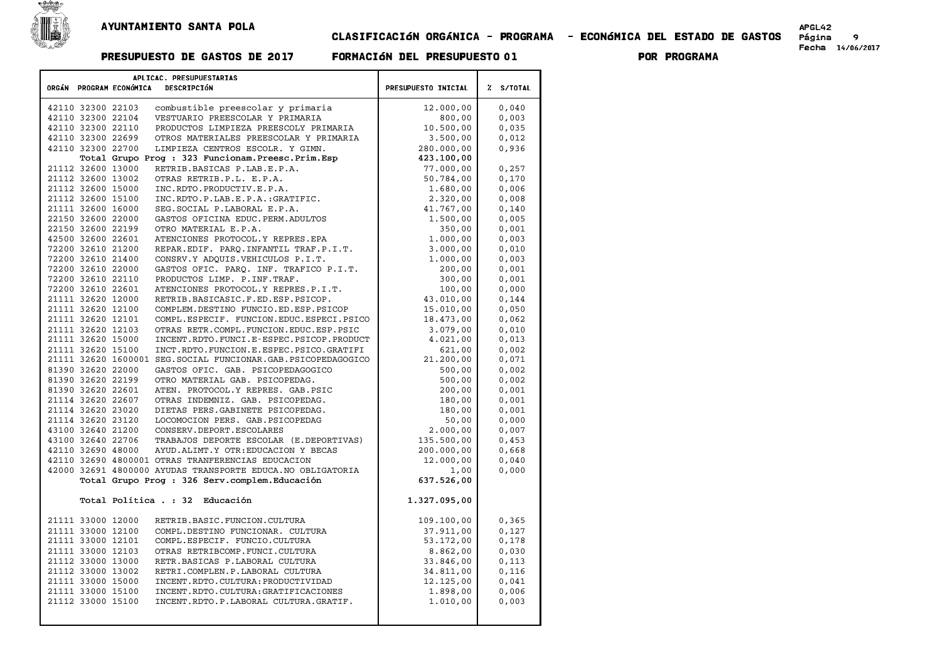

## CLASIFICACIøN ORG¶NICA - PROGRAMA - ECONøMICA DEL ESTADO DE GASTOS P£gina <sup>9</sup> Fecha 14/06/2017 PRESUPUESTO DE GASTOS DE <sup>2017</sup> FORMACIøN DEL PRESUPUESTO <sup>01</sup> POR PROGRAMA

| APLICAC. PRESUPUESTARIAS |                                                              |                     |           |  |  |
|--------------------------|--------------------------------------------------------------|---------------------|-----------|--|--|
| ORGÁN PROGRAM ECONÓMICA  | DESCRIPCIÓN                                                  |                     |           |  |  |
|                          |                                                              | PRESUPUESTO INICIAL | % S/TOTAL |  |  |
| 42110 32300 22103        | combustible preescolar y primaria                            | 12.000,00           | 0,040     |  |  |
| 42110 32300 22104        | VESTUARIO PREESCOLAR Y PRIMARIA                              | 800,00              | 0,003     |  |  |
| 42110 32300 22110        | PRODUCTOS LIMPIEZA PREESCOLY PRIMARIA                        | 10.500,00           | 0,035     |  |  |
| 42110 32300 22699        | OTROS MATERIALES PREESCOLAR Y PRIMARIA                       | 3.500,00            | 0,012     |  |  |
| 42110 32300 22700        | LIMPIEZA CENTROS ESCOLR. Y GIMN.                             | 280,000,00          | 0,936     |  |  |
|                          | Total Grupo Prog : 323 Funcionam. Preesc. Prim. Esp          | 423.100,00          |           |  |  |
| 21112 32600 13000        | RETRIB.BASICAS P.LAB.E.P.A.                                  | 77.000,00           | 0,257     |  |  |
| 21112 32600 13002        | OTRAS RETRIB.P.L. E.P.A.                                     | 50.784,00           | 0,170     |  |  |
| 21112 32600 15000        | INC.RDTO.PRODUCTIV.E.P.A.                                    | 1.680,00            | 0,006     |  |  |
| 21112 32600 15100        | INC.RDTO.P.LAB.E.P.A.:GRATIFIC.                              | 2.320,00            | 0,008     |  |  |
| 21111 32600 16000        | SEG. SOCIAL P. LABORAL E.P.A.                                | 41.767,00           | 0,140     |  |  |
| 22150 32600 22000        | GASTOS OFICINA EDUC. PERM. ADULTOS                           | 1.500,00            | 0,005     |  |  |
| 22150 32600 22199        | OTRO MATERIAL E.P.A.                                         | 350,00              | 0,001     |  |  |
| 42500 32600 22601        | ATENCIONES PROTOCOL.Y REPRES.EPA                             | 1.000,00            | 0,003     |  |  |
| 72200 32610 21200        | REPAR.EDIF. PARO.INFANTIL TRAF.P.I.T.                        | 3.000,00            | 0,010     |  |  |
| 72200 32610 21400        | CONSRV.Y ADOUIS.VEHICULOS P.I.T.                             | 1.000,00            | 0,003     |  |  |
| 72200 32610 22000        | GASTOS OFIC. PARO. INF. TRAFICO P.I.T.                       | 200,00              | 0,001     |  |  |
| 72200 32610 22110        | PRODUCTOS LIMP. P. INF. TRAF.                                | 300,00              | 0,001     |  |  |
| 72200 32610 22601        | ATENCIONES PROTOCOL.Y REPRES.P.I.T.                          | 100,00              | 0,000     |  |  |
| 21111 32620 12000        | RETRIB.BASICASIC.F.ED.ESP.PSICOP.                            | 43.010,00           | 0,144     |  |  |
| 21111 32620 12100        | COMPLEM.DESTINO FUNCIO.ED.ESP.PSICOP                         | 15.010,00           | 0,050     |  |  |
| 21111 32620 12101        | COMPL.ESPECIF. FUNCION.EDUC.ESPECI.PSICO                     | 18.473,00           | 0,062     |  |  |
| 21111 32620 12103        | OTRAS RETR.COMPL.FUNCION.EDUC.ESP.PSIC                       | 3.079,00            | 0,010     |  |  |
| 21111 32620 15000        | INCENT.RDTO.FUNCI.E-ESPEC.PSICOP.PRODUCT                     | 4.021,00            | 0,013     |  |  |
| 21111 32620 15100        | INCT.RDTO.FUNCION.E.ESPEC.PSICO.GRATIFI                      | 621,00              | 0,002     |  |  |
|                          | 21111 32620 1600001 SEG.SOCIAL FUNCIONAR.GAB.PSICOPEDAGOGICO | 21.200,00           | 0,071     |  |  |
| 81390 32620 22000        | GASTOS OFIC. GAB. PSICOPEDAGOGICO                            | 500,00              | 0,002     |  |  |
| 81390 32620 22199        | OTRO MATERIAL GAB. PSICOPEDAG.                               | 500,00              | 0,002     |  |  |
| 81390 32620 22601        | ATEN. PROTOCOL.Y REPRES. GAB.PSIC                            | 200,00              | 0,001     |  |  |
| 21114 32620 22607        | OTRAS INDEMNIZ. GAB. PSICOPEDAG.                             | 180,00              | 0,001     |  |  |
| 21114 32620 23020        | DIETAS PERS. GABINETE PSICOPEDAG.                            | 180,00              | 0,001     |  |  |
| 21114 32620 23120        | LOCOMOCION PERS. GAB. PSICOPEDAG                             | 50,00               | 0,000     |  |  |
| 43100 32640 21200        | CONSERV.DEPORT.ESCOLARES                                     | 2,000,00            | 0,007     |  |  |
| 43100 32640 22706        | TRABAJOS DEPORTE ESCOLAR (E.DEPORTIVAS)                      | 135.500,00          | 0,453     |  |  |
| 42110 32690 48000        | AYUD. ALIMT. Y OTR: EDUCACION Y BECAS                        | 200,000,00          | 0,668     |  |  |
|                          | 42110 32690 4800001 OTRAS TRANFERENCIAS EDUCACION            | 12.000,00           | 0,040     |  |  |
|                          | 42000 32691 4800000 AYUDAS TRANSPORTE EDUCA.NO OBLIGATORIA   | 1,00                | 0,000     |  |  |
|                          | Total Grupo Prog : 326 Serv.complem.Educación                | 637.526,00          |           |  |  |
|                          |                                                              |                     |           |  |  |
| Total Política . : 32    | Educación                                                    | 1.327.095,00        |           |  |  |
|                          |                                                              |                     |           |  |  |
| 21111 33000 12000        | RETRIB.BASIC.FUNCION.CULTURA                                 | 109.100,00          | 0, 365    |  |  |
| 21111 33000 12100        | COMPL.DESTINO FUNCIONAR. CULTURA                             | 37.911,00           | 0,127     |  |  |
| 21111 33000 12101        | COMPL.ESPECIF. FUNCIO.CULTURA                                | 53.172,00           | 0,178     |  |  |
| 21111 33000 12103        | OTRAS RETRIBCOMP. FUNCI.CULTURA                              | 8.862,00            | 0,030     |  |  |
| 21112 33000 13000        | RETR. BASICAS P. LABORAL CULTURA                             | 33.846,00           | 0,113     |  |  |
| 21112 33000 13002        | RETRI.COMPLEN.P.LABORAL CULTURA                              | 34.811,00           | 0,116     |  |  |
| 21111 33000 15000        | INCENT.RDTO.CULTURA: PRODUCTIVIDAD                           | 12.125,00           | 0,041     |  |  |
| 21111 33000 15100        | INCENT. RDTO. CULTURA: GRATIFICACIONES                       | 1.898,00            | 0,006     |  |  |
| 21112 33000 15100        | INCENT.RDTO.P.LABORAL CULTURA.GRATIF.                        | 1.010,00            | 0,003     |  |  |
|                          |                                                              |                     |           |  |  |
|                          |                                                              |                     |           |  |  |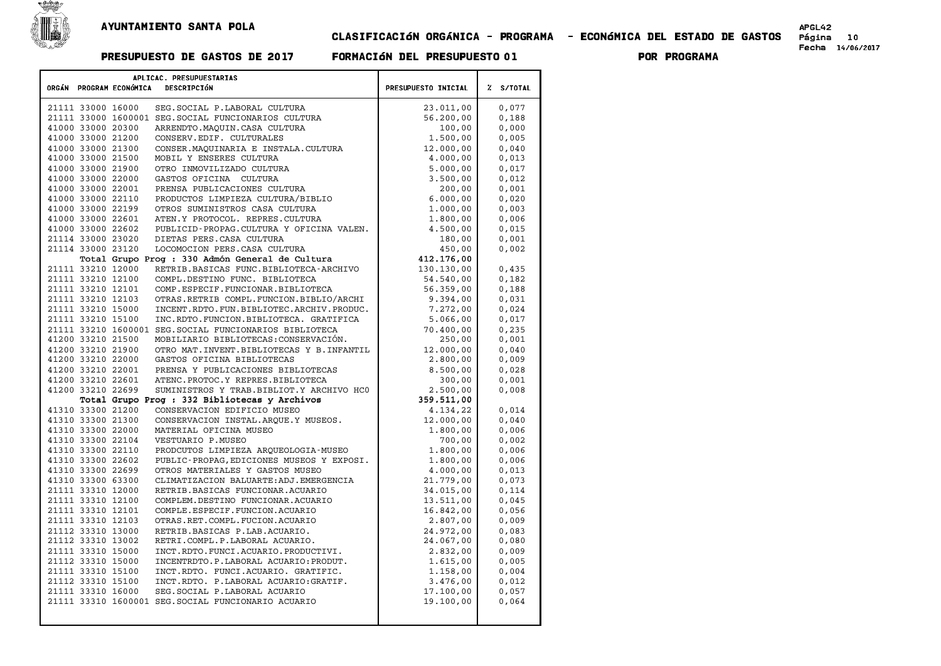

## CLASIFICACIøN ORG¶NICA - PROGRAMA - ECONøMICA DEL ESTADO DE GASTOS P£gina <sup>10</sup> Fecha 14/06/2017 PRESUPUESTO DE GASTOS DE <sup>2017</sup> FORMACIøN DEL PRESUPUESTO <sup>01</sup> POR PROGRAMA

|                   | ORGÁN PROGRAM ECONÓMICA | APLICAC. PRESUPUESTARIAS<br>DESCRIPCIÓN                                               | PRESUPUESTO INICIAL | % S/TOTAL |
|-------------------|-------------------------|---------------------------------------------------------------------------------------|---------------------|-----------|
|                   |                         |                                                                                       |                     |           |
| 21111 33000 16000 |                         | SEG. SOCIAL P. LABORAL CULTURA                                                        | 23.011,00           | 0,077     |
|                   |                         | 21111 33000 1600001 SEG. SOCIAL FUNCIONARIOS CULTURA                                  | 56.200,00           | 0,188     |
| 41000 33000 20300 |                         | ARRENDTO.MAQUIN.CASA CULTURA                                                          | 100,00              | 0,000     |
| 41000 33000 21200 |                         | CONSERV.EDIF. CULTURALES                                                              | 1,500,00            | 0,005     |
| 41000 33000 21300 |                         | CONSER. MAQUINARIA E INSTALA. CULTURA                                                 | 12.000,00           | 0,040     |
| 41000 33000 21500 |                         | MOBIL Y ENSERES CULTURA                                                               | 4.000,00            | 0,013     |
| 41000 33000 21900 |                         | OTRO INMOVILIZADO CULTURA                                                             | 5.000,00            | 0,017     |
| 41000 33000 22000 |                         | GASTOS OFICINA CULTURA                                                                | 3.500,00            | 0,012     |
| 41000 33000 22001 |                         | PRENSA PUBLICACIONES CULTURA                                                          | 200,00              | 0,001     |
| 41000 33000 22110 |                         | PRODUCTOS LIMPIEZA CULTURA/BIBLIO                                                     | 6.000,00            | 0,020     |
| 41000 33000 22199 |                         | OTROS SUMINISTROS CASA CULTURA                                                        | 1,000,00            | 0,003     |
| 41000 33000 22601 |                         | ATEN.Y PROTOCOL. REPRES.CULTURA                                                       | 1.800,00            | 0,006     |
| 41000 33000 22602 |                         | PUBLICID-PROPAG.CULTURA Y OFICINA VALEN.                                              | 4.500,00            | 0,015     |
| 21114 33000 23020 |                         | DIETAS PERS. CASA CULTURA                                                             | 180,00              | 0,001     |
| 21114 33000 23120 |                         | LOCOMOCION PERS. CASA CULTURA                                                         | 450,00              | 0,002     |
|                   |                         | Total Grupo Prog : 330 Admón General de Cultura                                       | 412.176,00          |           |
| 21111 33210 12000 |                         | RETRIB.BASICAS FUNC.BIBLIOTECA-ARCHIVO                                                | 130.130,00          | 0,435     |
| 21111 33210 12100 |                         | COMPL.DESTINO FUNC. BIBLIOTECA                                                        | 54.540,00           | 0,182     |
| 21111 33210 12101 |                         | COMP.ESPECIF.FUNCIONAR.BIBLIOTECA                                                     | 56.359,00           | 0,188     |
| 21111 33210 12103 |                         | OTRAS.RETRIB COMPL.FUNCION.BIBLIO/ARCHI                                               | 9.394,00            | 0,031     |
| 21111 33210 15000 |                         | INCENT.RDTO.FUN.BIBLIOTEC.ARCHIV.PRODUC.                                              | 7.272,00            | 0.024     |
| 21111 33210 15100 |                         | INC.RDTO.FUNCION.BIBLIOTECA. GRATIFICA                                                | 5.066,00            | 0,017     |
|                   |                         | 21111 33210 1600001 SEG. SOCIAL FUNCIONARIOS BIBLIOTECA                               | 70.400,00           | 0, 235    |
| 41200 33210 21500 |                         | MOBILIARIO BIBLIOTECAS: CONSERVACIÓN.                                                 | 250,00              | 0,001     |
| 41200 33210 21900 |                         | OTRO MAT. INVENT. BIBLIOTECAS Y B. INFANTIL                                           | 12.000,00           | 0,040     |
| 41200 33210 22000 |                         | GASTOS OFICINA BIBLIOTECAS                                                            | 2.800,00            | 0,009     |
| 41200 33210 22001 |                         | PRENSA Y PUBLICACIONES BIBLIOTECAS                                                    | 8.500,00            | 0,028     |
| 41200 33210 22601 |                         | ATENC. PROTOC.Y REPRES. BIBLIOTECA                                                    | 300,00              | 0,001     |
| 41200 33210 22699 |                         | SUMINISTROS Y TRAB. BIBLIOT. Y ARCHIVO HCO                                            | 2.500,00            | 0,008     |
|                   |                         | Total Grupo Prog : 332 Bibliotecas y Archivos                                         | 359.511,00          |           |
| 41310 33300 21200 |                         | CONSERVACION EDIFICIO MUSEO                                                           | 4.134,22            | 0,014     |
| 41310 33300 21300 |                         | CONSERVACION INSTAL. ARQUE. Y MUSEOS.                                                 | 12.000,00           | 0,040     |
| 41310 33300 22000 |                         | MATERIAL OFICINA MUSEO                                                                | 1,800,00            | 0,006     |
| 41310 33300 22104 |                         | VESTUARIO P.MUSEO                                                                     | 700,00              | 0,002     |
| 41310 33300 22110 |                         | PRODCUTOS LIMPIEZA ARQUEOLOGIA-MUSEO                                                  | 1,800,00            | 0,006     |
| 41310 33300 22602 |                         | PUBLIC-PROPAG, EDICIONES MUSEOS Y EXPOSI.                                             | 1.800,00            | 0,006     |
| 41310 33300 22699 |                         | OTROS MATERIALES Y GASTOS MUSEO                                                       | 4,000,00            | 0,013     |
| 41310 33300 63300 |                         | CLIMATIZACION BALUARTE: ADJ. EMERGENCIA                                               | 21.779,00           | 0,073     |
| 21111 33310 12000 |                         | RETRIB.BASICAS FUNCIONAR.ACUARIO                                                      | 34.015,00           | 0,114     |
| 21111 33310 12100 |                         | COMPLEM.DESTINO FUNCIONAR.ACUARIO                                                     | 13.511,00           | 0,045     |
| 21111 33310 12101 |                         | COMPLE.ESPECIF.FUNCION.ACUARIO                                                        | 16.842,00           | 0,056     |
| 21111 33310 12103 |                         | OTRAS.RET.COMPL.FUCION.ACUARIO                                                        | 2.807,00            | 0,009     |
| 21112 33310 13000 |                         | RETRIB.BASICAS P.LAB.ACUARIO.                                                         | 24.972,00           | 0,083     |
| 21112 33310 13002 |                         | RETRI.COMPL.P.LABORAL ACUARIO.                                                        | 24.067,00           | 0,080     |
| 21111 33310 15000 |                         | INCT.RDTO.FUNCI.ACUARIO.PRODUCTIVI.                                                   | 2.832,00            | 0.009     |
| 21112 33310 15000 |                         | INCENTRDTO.P.LABORAL ACUARIO: PRODUT.                                                 | 1.615,00            | 0,005     |
| 21111 33310 15100 |                         | INCT.RDTO. FUNCI.ACUARIO. GRATIFIC.                                                   | 1,158,00            | 0,004     |
| 21112 33310 15100 |                         | INCT.RDTO. P.LABORAL ACUARIO:GRATIF.                                                  | 3.476,00            | 0,012     |
| 21111 33310 16000 |                         | SEG. SOCIAL P. LABORAL ACUARIO<br>21111 33310 1600001 SEG. SOCIAL FUNCIONARIO ACUARIO | 17.100,00           | 0,057     |
|                   |                         |                                                                                       | 19.100,00           | 0,064     |
|                   |                         |                                                                                       |                     |           |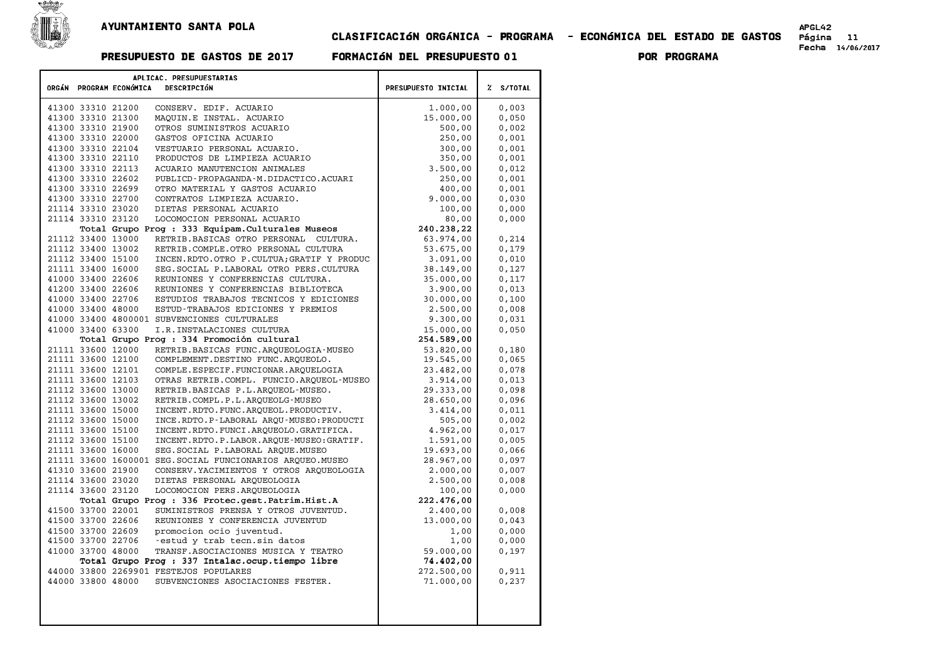

## CLASIFICACIøN ORG¶NICA - PROGRAMA - ECONøMICA DEL ESTADO DE GASTOS P£gina <sup>11</sup> Fecha 14/06/2017 PRESUPUESTO DE GASTOS DE <sup>2017</sup> FORMACIøN DEL PRESUPUESTO <sup>01</sup> POR PROGRAMA

| ORGÁN PROGRAM ECONÓMICA | APLICAC. PRESUPUESTARIAS<br><b>DESCRIPCIÓN</b>             | PRESUPUESTO INICIAL | % S/TOTAL |
|-------------------------|------------------------------------------------------------|---------------------|-----------|
|                         |                                                            |                     |           |
| 41300 33310 21200       | CONSERV. EDIF. ACUARIO                                     | 1,000,00            | 0,003     |
| 41300 33310 21300       | MAQUIN.E INSTAL. ACUARIO                                   | 15.000,00           | 0,050     |
| 41300 33310 21900       | OTROS SUMINISTROS ACUARIO                                  | 500,00              | 0,002     |
| 41300 33310 22000       | GASTOS OFICINA ACUARIO                                     | 250,00              | 0,001     |
| 41300 33310 22104       | VESTUARIO PERSONAL ACUARIO.                                | 300,00              | 0.001     |
| 41300 33310 22110       | PRODUCTOS DE LIMPIEZA ACUARIO                              | 350,00              | 0,001     |
| 41300 33310 22113       | ACUARIO MANUTENCION ANIMALES                               | 3.500,00            | 0.012     |
| 41300 33310 22602       | PUBLICD-PROPAGANDA-M.DIDACTICO.ACUARI                      | 250,00              | 0,001     |
| 41300 33310 22699       | OTRO MATERIAL Y GASTOS ACUARIO                             | 400,00              | 0,001     |
| 41300 33310 22700       | CONTRATOS LIMPIEZA ACUARIO.                                | 9.000,00            | 0,030     |
| 21114 33310 23020       | DIETAS PERSONAL ACUARIO                                    | 100,00              | 0,000     |
| 21114 33310 23120       | LOCOMOCION PERSONAL ACUARIO                                | 80,00               | 0,000     |
|                         | Total Grupo Prog : 333 Equipam. Culturales Museos          | 240.238,22          |           |
| 21112 33400 13000       | RETRIB.BASICAS OTRO PERSONAL CULTURA.                      | 63.974,00           | 0,214     |
| 21112 33400 13002       | RETRIB.COMPLE.OTRO PERSONAL CULTURA                        | 53.675,00           | 0,179     |
| 21112 33400 15100       | INCEN.RDTO.OTRO P.CULTUA; GRATIF Y PRODUC                  | 3.091,00            | 0,010     |
| 21111 33400 16000       | SEG. SOCIAL P. LABORAL OTRO PERS. CULTURA                  | 38.149,00           | 0,127     |
| 41000 33400 22606       | REUNIONES Y CONFERENCIAS CULTURA.                          | 35.000,00           | 0,117     |
| 41200 33400 22606       | REUNIONES Y CONFERENCIAS BIBLIOTECA                        | 3.900,00            | 0,013     |
| 41000 33400 22706       | ESTUDIOS TRABAJOS TECNICOS Y EDICIONES                     | 30.000,00           | 0,100     |
| 41000 33400 48000       | ESTUD-TRABAJOS EDICIONES Y PREMIOS                         | 2.500,00            | 0,008     |
|                         | 41000 33400 4800001 SUBVENCIONES CULTURALES                | 9.300,00            | 0,031     |
| 41000 33400 63300       | I.R. INSTALACIONES CULTURA                                 | 15.000,00           | 0,050     |
|                         | Total Grupo Prog : 334 Promoción cultural                  | 254.589,00          |           |
| 21111 33600 12000       | RETRIB. BASICAS FUNC. ARQUEOLOGIA-MUSEO                    | 53.820,00           | 0,180     |
| 21111 33600 12100       | COMPLEMENT.DESTINO FUNC.ARQUEOLO.                          | 19.545,00           | 0,065     |
| 21111 33600 12101       | COMPLE.ESPECIF.FUNCIONAR.ARQUELOGIA                        | 23,482,00           | 0.078     |
| 21111 33600 12103       | OTRAS RETRIB.COMPL. FUNCIO.ARQUEOL-MUSEO                   | 3.914,00            | 0,013     |
| 21112 33600 13000       | RETRIB.BASICAS P.L.ARQUEOL-MUSEO.                          | 29.333,00           | 0,098     |
| 21112 33600 13002       | RETRIB.COMPL.P.L.ARQUEOLG-MUSEO                            | 28.650,00           | 0,096     |
| 21111 33600 15000       | INCENT.RDTO.FUNC.AROUEOL.PRODUCTIV.                        | 3.414,00            | 0.011     |
| 21112 33600 15000       | INCE.RDTO.P-LABORAL ARQU-MUSEO:PRODUCTI                    | 505,00              | 0,002     |
| 21111 33600 15100       | INCENT.RDTO.FUNCI.AROUEOLO.GRATIFICA.                      | 4.962.00            | 0.017     |
| 21112 33600 15100       | INCENT.RDTO.P.LABOR.ARQUE-MUSEO:GRATIF.                    | 1.591,00            | 0,005     |
| 21111 33600 16000       | SEG. SOCIAL P. LABORAL AROUE. MUSEO                        | 19.693,00           | 0,066     |
|                         | 21111 33600 1600001 SEG. SOCIAL FUNCIONARIOS ARQUEO. MUSEO | 28.967,00           | 0,097     |
| 41310 33600 21900       | CONSERV. YACIMIENTOS Y OTROS ARQUEOLOGIA                   | 2,000,00            | 0,007     |
| 21114 33600 23020       | DIETAS PERSONAL ARQUEOLOGIA                                | 2.500,00            | 0,008     |
| 21114 33600 23120       | LOCOMOCION PERS.ARQUEOLOGIA                                | 100,00              | 0,000     |
|                         | Total Grupo Prog : 336 Protec.gest.Patrim.Hist.A           | 222.476,00          |           |
| 41500 33700 22001       | SUMINISTROS PRENSA Y OTROS JUVENTUD.                       | 2,400,00            | 0,008     |
| 41500 33700 22606       | REUNIONES Y CONFERENCIA JUVENTUD                           | 13.000,00           | 0,043     |
| 41500 33700 22609       | promocion ocio juventud.                                   | 1,00                | 0,000     |
| 41500 33700 22706       | -estud y trab tecn.sin datos                               | 1,00                | 0,000     |
| 41000 33700 48000       | TRANSF. ASOCIACIONES MUSICA Y TEATRO                       | 59.000,00           | 0,197     |
|                         | Total Grupo Prog : 337 Intalac.ocup.tiempo libre           | 74.402,00           |           |
|                         | 44000 33800 2269901 FESTEJOS POPULARES                     | 272.500,00          | 0,911     |
| 44000 33800 48000       | SUBVENCIONES ASOCIACIONES FESTER.                          | 71.000,00           | 0,237     |
|                         |                                                            |                     |           |
|                         |                                                            |                     |           |
|                         |                                                            |                     |           |
|                         |                                                            |                     |           |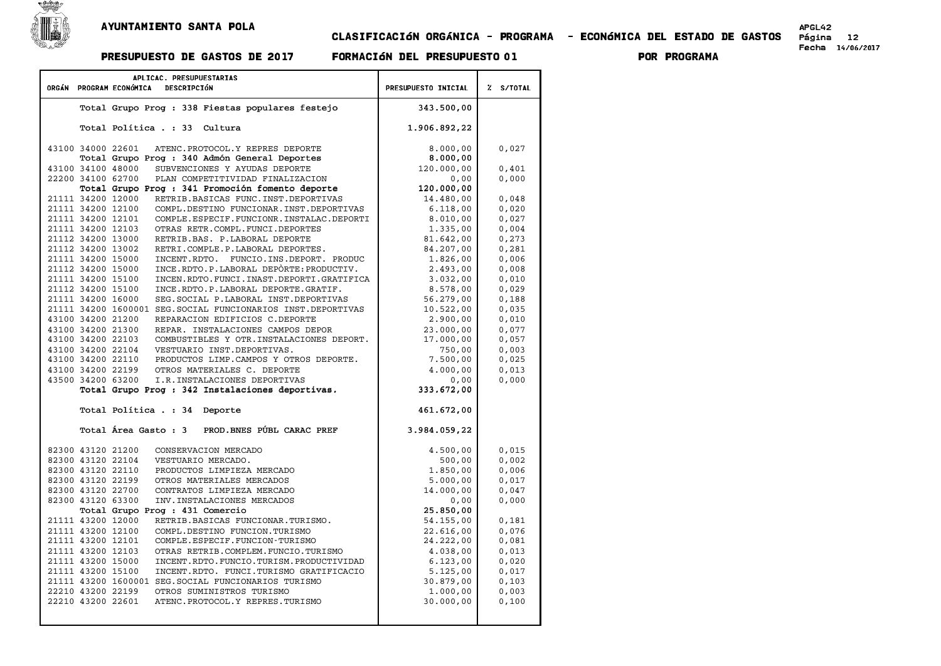

## CLASIFICACIøN ORG¶NICA - PROGRAMA - ECONøMICA DEL ESTADO DE GASTOS P£gina <sup>12</sup> Fecha 14/06/2017 PRESUPUESTO DE GASTOS DE <sup>2017</sup> FORMACIøN DEL PRESUPUESTO <sup>01</sup> POR PROGRAMA

|                                        | APLICAC. PRESUPUESTARIAS<br>ORGÁN PROGRAM ECONÓMICA | PRESUPUESTO INICIAL                                                                | Z S/TOTAL              |                |
|----------------------------------------|-----------------------------------------------------|------------------------------------------------------------------------------------|------------------------|----------------|
|                                        |                                                     | DESCRIPCIÓN                                                                        |                        |                |
|                                        |                                                     | Total Grupo Prog : 338 Fiestas populares festejo                                   | 343.500,00             |                |
|                                        |                                                     | Total Política . : 33<br>Cultura                                                   | 1.906.892,22           |                |
| 43100 34000 22601                      |                                                     | ATENC. PROTOCOL. Y REPRES DEPORTE                                                  | 8.000,00               | 0,027          |
|                                        |                                                     | Total Grupo Prog : 340 Admón General Deportes                                      | 8.000,00               |                |
| 43100 34100 48000                      |                                                     | SUBVENCIONES Y AYUDAS DEPORTE                                                      | 120.000,00             | 0,401          |
| 22200 34100 62700                      |                                                     | PLAN COMPETITIVIDAD FINALIZACION                                                   | 0,00                   | 0,000          |
|                                        |                                                     | Total Grupo Prog : 341 Promoción fomento deporte                                   | 120.000,00             |                |
| 21111 34200 12000                      |                                                     | RETRIB. BASICAS FUNC. INST. DEPORTIVAS                                             | 14.480,00              | 0,048          |
| 21111 34200 12100                      |                                                     | COMPL.DESTINO FUNCIONAR.INST.DEPORTIVAS                                            | 6.118,00               | 0,020          |
| 21111 34200 12101                      |                                                     | COMPLE.ESPECIF.FUNCIONR.INSTALAC.DEPORTI                                           | 8.010,00               | 0,027          |
| 21111 34200 12103                      |                                                     | OTRAS RETR.COMPL.FUNCI.DEPORTES                                                    | 1.335,00               | 0,004          |
| 21112 34200 13000                      |                                                     | RETRIB.BAS. P.LABORAL DEPORTE                                                      | 81.642,00              | 0,273          |
| 21112 34200 13002                      |                                                     | RETRI.COMPLE.P.LABORAL DEPORTES.                                                   | 84.207,00              | 0,281          |
| 21111 34200 15000                      |                                                     | INCENT.RDTO. FUNCIO.INS.DEPORT. PRODUC                                             | 1.826,00               | 0,006          |
| 21112 34200 15000                      |                                                     | INCE.RDTO.P.LABORAL DEPÒRTE: PRODUCTIV.                                            | 2.493,00               | 0.008          |
| 21111 34200 15100                      |                                                     | INCEN.RDTO.FUNCI.INAST.DEPORTI.GRATIFICA                                           | 3.032,00               | 0,010          |
| 21112 34200 15100<br>21111 34200 16000 |                                                     | INCE.RDTO.P.LABORAL DEPORTE.GRATIF.<br>SEG. SOCIAL P. LABORAL INST. DEPORTIVAS     | 8.578,00               | 0,029          |
|                                        |                                                     | 21111 34200 1600001 SEG. SOCIAL FUNCIONARIOS INST. DEPORTIVAS                      | 56.279,00<br>10.522,00 | 0,188<br>0,035 |
| 43100 34200 21200                      |                                                     | REPARACION EDIFICIOS C.DEPORTE                                                     | 2.900,00               | 0,010          |
| 43100 34200 21300                      |                                                     | REPAR. INSTALACIONES CAMPOS DEPOR                                                  | 23.000,00              | 0,077          |
| 43100 34200 22103                      |                                                     | COMBUSTIBLES Y OTR. INSTALACIONES DEPORT.                                          | 17.000,00              | 0,057          |
| 43100 34200 22104                      |                                                     | VESTUARIO INST.DEPORTIVAS.                                                         | 750,00                 | 0,003          |
| 43100 34200 22110                      |                                                     | PRODUCTOS LIMP. CAMPOS Y OTROS DEPORTE.                                            | 7.500,00               | 0,025          |
| 43100 34200 22199                      |                                                     | OTROS MATERIALES C. DEPORTE                                                        | 4.000,00               | 0.013          |
| 43500 34200 63200                      |                                                     | I.R. INSTALACIONES DEPORTIVAS                                                      | 0,00                   | 0,000          |
|                                        |                                                     | Total Grupo Prog : 342 Instalaciones deportivas.                                   | 333.672,00             |                |
|                                        | Total Política . : 34                               | Deporte                                                                            | 461.672,00             |                |
|                                        |                                                     | Total Área Gasto: 3 PROD. BNES PÚBL CARAC PREF                                     | 3.984.059,22           |                |
|                                        |                                                     |                                                                                    |                        |                |
| 82300 43120 21200                      |                                                     | CONSERVACION MERCADO                                                               | 4.500,00               | 0,015          |
| 82300 43120 22104                      |                                                     | VESTUARIO MERCADO.                                                                 | 500,00                 | 0,002          |
| 82300 43120 22110                      |                                                     | PRODUCTOS LIMPIEZA MERCADO                                                         | 1,850,00               | 0,006          |
| 82300 43120 22199                      |                                                     | OTROS MATERIALES MERCADOS                                                          | 5.000,00               | 0,017          |
| 82300 43120 22700                      |                                                     | CONTRATOS LIMPIEZA MERCADO                                                         | 14.000,00              | 0,047          |
| 82300 43120 63300                      |                                                     | INV. INSTALACIONES MERCADOS                                                        | 0,00                   | 0,000          |
|                                        |                                                     | Total Grupo Prog : 431 Comercio                                                    | 25.850,00              |                |
| 21111 43200 12000                      |                                                     | RETRIB.BASICAS FUNCIONAR.TURISMO.                                                  | 54.155,00              | 0,181          |
| 21111 43200 12100                      |                                                     | COMPL.DESTINO FUNCION.TURISMO                                                      | 22.616,00              | 0,076          |
| 21111 43200 12101                      |                                                     | COMPLE. ESPECIF. FUNCION-TURISMO                                                   | 24.222,00              | 0,081          |
| 21111 43200 12103<br>21111 43200 15000 |                                                     | OTRAS RETRIB.COMPLEM.FUNCIO.TURISMO                                                | 4.038,00               | 0,013          |
| 21111 43200 15100                      |                                                     | INCENT.RDTO.FUNCIO.TURISM.PRODUCTIVIDAD<br>INCENT.RDTO. FUNCI.TURISMO GRATIFICACIO | 6.123,00<br>5.125,00   | 0,020<br>0,017 |
|                                        |                                                     | 21111 43200 1600001 SEG. SOCIAL FUNCIONARIOS TURISMO                               | 30.879,00              | 0,103          |
| 22210 43200 22199                      |                                                     | OTROS SUMINISTROS TURISMO                                                          | 1.000,00               | 0,003          |
| 22210 43200 22601                      |                                                     | ATENC. PROTOCOL. Y REPRES. TURISMO                                                 | 30.000,00              | 0,100          |
|                                        |                                                     |                                                                                    |                        |                |
|                                        |                                                     |                                                                                    |                        |                |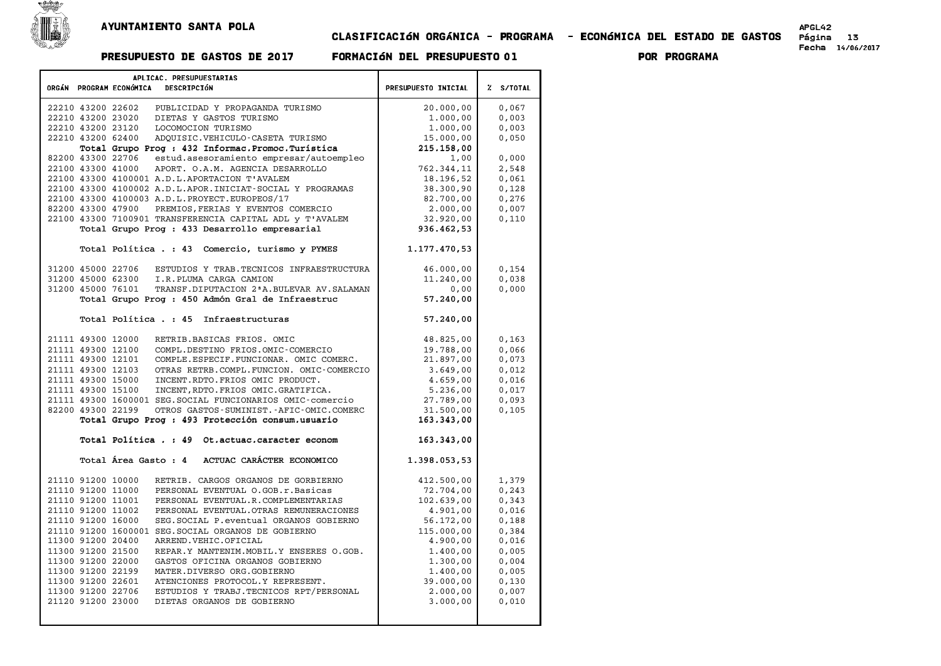

## CLASIFICACIøN ORG¶NICA - PROGRAMA - ECONøMICA DEL ESTADO DE GASTOS P£gina <sup>13</sup> Fecha 14/06/2017 PRESUPUESTO DE GASTOS DE <sup>2017</sup> FORMACIøN DEL PRESUPUESTO <sup>01</sup> POR PROGRAMA

| APLICAC. PRESUPUESTARIAS<br>ORGÁN PROGRAM ECONÓMICA<br>DESCRIPCIÓN               |                        | % S/TOTAL      |
|----------------------------------------------------------------------------------|------------------------|----------------|
|                                                                                  | PRESUPUESTO INICIAL    |                |
| 22210 43200 22602<br>PUBLICIDAD Y PROPAGANDA TURISMO                             | 20.000,00              | 0,067          |
| DIETAS Y GASTOS TURISMO<br>22210 43200 23020                                     | 1.000,00               | 0,003          |
| 22210 43200 23120<br>LOCOMOCION TURISMO                                          | 1,000,00               | 0,003          |
| 22210 43200 62400<br>ADOUISIC.VEHICULO-CASETA TURISMO                            | 15.000,00              | 0,050          |
| Total Grupo Prog : 432 Informac. Promoc. Turística                               | 215, 158, 00           |                |
| 82200 43300 22706<br>estud.asesoramiento empresar/autoempleo                     | 1,00                   | 0,000          |
| 22100 43300 41000<br>APORT. O.A.M. AGENCIA DESARROLLO                            | 762.344,11             | 2,548          |
| 22100 43300 4100001 A.D.L.APORTACION T'AVALEM                                    | 18.196,52              | 0,061          |
| 22100 43300 4100002 A.D.L.APOR.INICIAT-SOCIAL Y PROGRAMAS                        | 38.300,90              | 0,128          |
| 22100 43300 4100003 A.D.L. PROYECT. EUROPEOS/17                                  | 82,700,00              | 0,276          |
| 82200 43300 47900<br>PREMIOS, FERIAS Y EVENTOS COMERCIO                          | 2,000,00               | 0,007          |
| 22100 43300 7100901 TRANSFERENCIA CAPITAL ADL y T'AVALEM                         | 32.920,00              | 0,110          |
| Total Grupo Prog : 433 Desarrollo empresarial                                    | 936.462,53             |                |
|                                                                                  |                        |                |
| Total Política . : 43 Comercio, turismo y PYMES                                  | 1.177.470,53           |                |
| ESTUDIOS Y TRAB. TECNICOS INFRAESTRUCTURA<br>31200 45000 22706                   |                        |                |
| 31200 45000 62300<br>I.R.PLUMA CARGA CAMION                                      | 46.000,00<br>11.240,00 | 0,154<br>0,038 |
| 31200 45000 76101<br>TRANSF. DIPUTACION 2 <sup>ª</sup> A. BULEVAR AV. SALAMAN    | 0,00                   | 0,000          |
| Total Grupo Prog : 450 Admón Gral de Infraestruc                                 | 57.240,00              |                |
|                                                                                  |                        |                |
| Total Política . : 45 Infraestructuras                                           | 57.240,00              |                |
|                                                                                  |                        |                |
| 21111 49300 12000<br>RETRIB.BASICAS FRIOS. OMIC                                  | 48.825,00              | 0,163          |
| 21111 49300 12100<br>COMPL.DESTINO FRIOS.OMIC-COMERCIO                           | 19.788,00              | 0.066          |
| 21111 49300 12101<br>COMPLE.ESPECIF.FUNCIONAR. OMIC COMERC.                      | 21.897,00              | 0,073          |
| 21111 49300 12103<br>OTRAS RETRB.COMPL.FUNCION. OMIC-COMERCIO                    | 3.649,00               | 0,012          |
| 21111 49300 15000<br>INCENT.RDTO.FRIOS OMIC PRODUCT.                             | 4.659,00               | 0,016          |
| 21111 49300 15100<br>INCENT, RDTO. FRIOS OMIC. GRATIFICA.                        | 5.236,00               | 0,017          |
| 21111 49300 1600001 SEG. SOCIAL FUNCIONARIOS OMIC-comercio                       | 27.789,00              | 0,093          |
| 82200 49300 22199<br>OTROS GASTOS-SUMINIST.-AFIC-OMIC.COMERC                     | 31.500,00              | 0,105          |
| Total Grupo Prog : 493 Protección consum.usuario                                 | 163.343,00             |                |
|                                                                                  |                        |                |
| Total Política . : 49 Ot.actuac.caracter econom                                  | 163.343,00             |                |
| Total Área Gasto : 4 ACTUAC CARÁCTER ECONOMICO                                   | 1.398.053,53           |                |
|                                                                                  |                        |                |
| 21110 91200 10000<br>RETRIB. CARGOS ORGANOS DE GORBIERNO                         | 412.500,00             | 1,379          |
| 21110 91200 11000<br>PERSONAL EVENTUAL O.GOB.r.Basicas                           | 72.704,00              | 0, 243         |
| 21110 91200 11001<br>PERSONAL EVENTUAL.R.COMPLEMENTARIAS                         | 102.639,00             | 0,343          |
| 21110 91200 11002<br>PERSONAL EVENTUAL. OTRAS REMUNERACIONES                     | 4.901,00               | 0,016          |
| 21110 91200 16000<br>SEG. SOCIAL P. eventual ORGANOS GOBIERNO                    | 56.172,00              | 0,188          |
| 21110 91200 1600001 SEG. SOCIAL ORGANOS DE GOBIERNO                              | 115.000,00             | 0,384          |
| 11300 91200 20400<br>ARREND. VEHIC. OFICIAL                                      | 4.900,00               | 0,016          |
| 11300 91200 21500<br>REPAR.Y MANTENIM. MOBIL.Y ENSERES O.GOB.                    | 1,400,00               | 0,005          |
| 11300 91200 22000<br>GASTOS OFICINA ORGANOS GOBIERNO                             | 1.300,00               | 0,004          |
| 11300 91200 22199<br>MATER.DIVERSO ORG.GOBIERNO                                  | 1,400,00               | 0,005          |
| 11300 91200 22601<br>ATENCIONES PROTOCOL.Y REPRESENT.                            | 39.000,00              | 0,130          |
|                                                                                  |                        |                |
| 11300 91200 22706<br>ESTUDIOS Y TRABJ.TECNICOS RPT/PERSONAL<br>21120 91200 23000 | 2.000,00               | 0,007          |
| DIETAS ORGANOS DE GOBIERNO                                                       | 3.000,00               | 0,010          |
|                                                                                  |                        |                |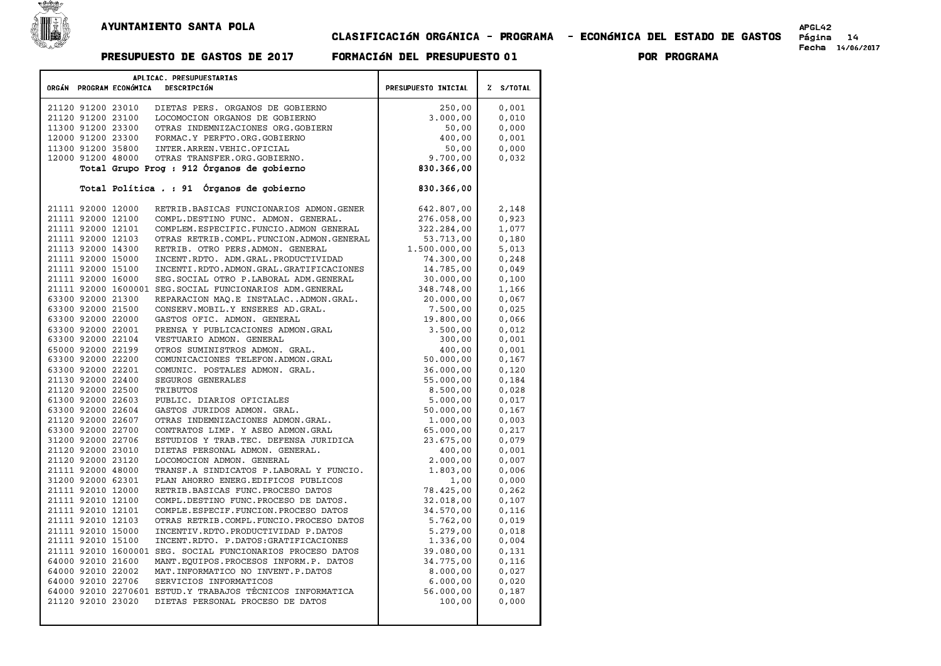

### APGLAS<br>CLASIFICACIÓN ORGÁNICA - PROGRAMA - ECONÓMICA DEL ESTADO DE GASTOS Página 14 PRESUPUESTO DE GASTOS DE <sup>2017</sup> FORMACIøN DEL PRESUPUESTO <sup>01</sup> POR PROGRAMA

| APLICAC. PRESUPUESTARIAS<br>ORGÁN PROGRAM ECONÓMICA<br>DESCRIPCIÓN                               | PRESUPUESTO INICIAL | Z S/TOTAL       |
|--------------------------------------------------------------------------------------------------|---------------------|-----------------|
|                                                                                                  |                     |                 |
| 21120 91200 23010<br>DIETAS PERS. ORGANOS DE GOBIERNO                                            | 250,00              | 0,001           |
| 21120 91200 23100<br>LOCOMOCION ORGANOS DE GOBIERNO                                              | 3.000,00            | 0,010           |
| 11300 91200 23300<br>OTRAS INDEMNIZACIONES ORG.GOBIERN                                           | 50,00               | 0,000           |
| 12000 91200 23300<br>FORMAC.Y PERFTO.ORG.GOBIERNO                                                | 400,00              | 0,001           |
| 11300 91200 35800<br>INTER.ARREN.VEHIC.OFICIAL                                                   | 50,00               | 0,000           |
| 12000 91200 48000<br>OTRAS TRANSFER.ORG.GOBIERNO.                                                | 9.700,00            | 0,032           |
| Total Grupo Prog : 912 Órganos de gobierno                                                       | 830.366,00          |                 |
| Total Política . : 91 Órganos de gobierno                                                        | 830.366,00          |                 |
|                                                                                                  |                     |                 |
| 21111 92000 12000<br>RETRIB.BASICAS FUNCIONARIOS ADMON.GENER                                     | 642.807,00          | 2,148           |
| 21111 92000 12100<br>COMPL.DESTINO FUNC. ADMON. GENERAL.                                         | 276.058,00          | 0,923           |
| COMPLEM. ESPECIFIC. FUNCIO. ADMON GENERAL<br>21111 92000 12101                                   | 322.284,00          | 1,077           |
| 21111 92000 12103<br>OTRAS RETRIB.COMPL.FUNCION.ADMON.GENERAL                                    | 53.713,00           | 0,180           |
| 21113 92000 14300<br>RETRIB. OTRO PERS.ADMON. GENERAL                                            | 1.500.000,00        | 5,013           |
| 21111 92000 15000<br>INCENT.RDTO. ADM.GRAL.PRODUCTIVIDAD                                         | 74.300,00           | 0, 248          |
| 21111 92000 15100<br>INCENTI.RDTO.ADMON.GRAL.GRATIFICACIONES                                     | 14.785,00           | 0,049           |
| 21111 92000 16000<br>SEG. SOCIAL OTRO P. LABORAL ADM. GENERAL                                    | 30.000,00           | 0,100           |
| 21111 92000 1600001 SEG. SOCIAL FUNCIONARIOS ADM. GENERAL                                        | 348.748,00          | 1,166           |
| 63300 92000 21300<br>REPARACION MAQ.E INSTALACADMON.GRAL.                                        | 20.000,00           | 0,067           |
| 63300 92000 21500<br>CONSERV. MOBIL. Y ENSERES AD. GRAL.                                         | 7.500,00            | 0.025           |
| 63300 92000 22000<br>GASTOS OFIC. ADMON. GENERAL                                                 | 19.800,00           | 0,066           |
| 63300 92000 22001<br>PRENSA Y PUBLICACIONES ADMON. GRAL                                          | 3.500,00            | 0,012           |
| 63300 92000 22104<br>VESTUARIO ADMON. GENERAL                                                    | 300,00              | 0,001           |
| 65000 92000 22199<br>OTROS SUMINISTROS ADMON. GRAL.                                              | 400,00              | 0,001           |
| 63300 92000 22200<br>COMUNICACIONES TELEFON.ADMON.GRAL                                           | 50.000,00           | 0,167           |
| 63300 92000 22201<br>COMUNIC. POSTALES ADMON. GRAL.                                              | 36.000,00           | 0.120           |
| 21130 92000 22400<br>SEGUROS GENERALES                                                           | 55.000,00           | 0,184           |
| 21120 92000 22500<br>TRIBUTOS                                                                    | 8.500,00            | 0,028           |
| 61300 92000 22603<br>PUBLIC. DIARIOS OFICIALES                                                   | 5.000,00            | 0,017           |
| 63300 92000 22604<br>GASTOS JURIDOS ADMON. GRAL.                                                 | 50.000,00           | 0,167           |
| 21120 92000 22607<br>OTRAS INDEMNIZACIONES ADMON.GRAL.                                           | 1.000,00            | 0,003           |
| 63300 92000 22700<br>CONTRATOS LIMP. Y ASEO ADMON.GRAL                                           | 65,000,00           | 0,217           |
| 31200 92000 22706<br>ESTUDIOS Y TRAB. TEC. DEFENSA JURIDICA                                      | 23.675,00           | 0,079           |
| 21120 92000 23010<br>DIETAS PERSONAL ADMON. GENERAL.                                             | 400,00              | 0,001           |
| 21120 92000 23120<br>LOCOMOCION ADMON. GENERAL                                                   | 2.000,00            | 0,007           |
| 21111 92000 48000<br>TRANSF.A SINDICATOS P.LABORAL Y FUNCIO.                                     | 1.803,00            | 0,006           |
| 31200 92000 62301<br>PLAN AHORRO ENERG. EDIFICOS PUBLICOS                                        |                     |                 |
| 21111 92010 12000                                                                                | 1,00                | 0,000           |
| RETRIB. BASICAS FUNC. PROCESO DATOS<br>21111 92010 12100<br>COMPL.DESTINO FUNC.PROCESO DE DATOS. | 78.425,00           | 0, 262<br>0,107 |
|                                                                                                  | 32.018,00           |                 |
| 21111 92010 12101<br>COMPLE.ESPECIF.FUNCION.PROCESO DATOS                                        | 34.570,00           | 0,116           |
| 21111 92010 12103<br>OTRAS RETRIB.COMPL.FUNCIO.PROCESO DATOS                                     | 5.762,00            | 0,019           |
| 21111 92010 15000<br>INCENTIV.RDTO.PRODUCTIVIDAD P.DATOS                                         | 5.279,00            | 0,018           |
| 21111 92010 15100<br>INCENT.RDTO. P.DATOS:GRATIFICACIONES                                        | 1.336,00            | 0,004           |
| 21111 92010 1600001 SEG. SOCIAL FUNCIONARIOS PROCESO DATOS                                       | 39.080,00           | 0,131           |
| 64000 92010 21600<br>MANT. EQUIPOS. PROCESOS INFORM. P. DATOS                                    | 34.775,00           | 0,116           |
| 64000 92010 22002<br>MAT. INFORMATICO NO INVENT. P. DATOS                                        | 8.000,00            | 0,027           |
| 64000 92010 22706<br>SERVICIOS INFORMATICOS                                                      | 6.000,00            | 0,020           |
| 64000 92010 2270601 ESTUD.Y TRABAJOS TÉCNICOS INFORMATICA                                        | 56.000,00           | 0,187           |
| 21120 92010 23020<br>DIETAS PERSONAL PROCESO DE DATOS                                            | 100,00              | 0,000           |
|                                                                                                  |                     |                 |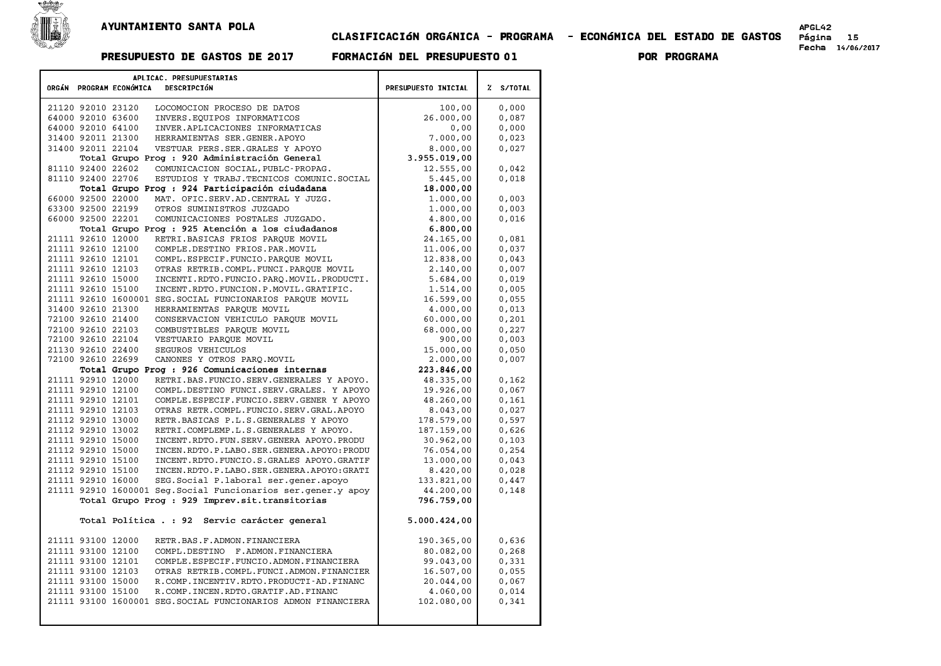

## CLASIFICACIøN ORG¶NICA - PROGRAMA - ECONøMICA DEL ESTADO DE GASTOS P£gina <sup>15</sup> Fecha 14/06/2017 PRESUPUESTO DE GASTOS DE <sup>2017</sup> FORMACIøN DEL PRESUPUESTO <sup>01</sup> POR PROGRAMA

| APLICAC. PRESUPUESTARIAS                                                                                 |                      |           |
|----------------------------------------------------------------------------------------------------------|----------------------|-----------|
| ORGÁN PROGRAM ECONÓMICA<br>DESCRIPCIÓN                                                                   | PRESUPUESTO INICIAL  | % S/TOTAL |
|                                                                                                          |                      |           |
| 21120 92010 23120<br>LOCOMOCION PROCESO DE DATOS                                                         | 100,00               | 0,000     |
| 64000 92010 63600<br>INVERS. EQUIPOS INFORMATICOS                                                        | 26.000,00            | 0,087     |
| 64000 92010 64100<br>INVER.APLICACIONES INFORMATICAS                                                     | 0,00                 | 0,000     |
| 31400 92011 21300<br>HERRAMIENTAS SER.GENER.APOYO                                                        | 7.000,00             | 0,023     |
| 31400 92011 22104<br>VESTUAR PERS. SER. GRALES Y APOYO                                                   | 8.000,00             | 0,027     |
| Total Grupo Prog : 920 Administración General                                                            | 3.955.019,00         |           |
| 81110 92400 22602<br>COMUNICACION SOCIAL, PUBLC-PROPAG.                                                  | 12.555,00            | 0,042     |
| 81110 92400 22706<br>ESTUDIOS Y TRABJ. TECNICOS COMUNIC. SOCIAL                                          | 5.445,00             | 0,018     |
| Total Grupo Prog : 924 Participación ciudadana<br>66000 92500 22000<br>MAT. OFIC.SERV.AD.CENTRAL Y JUZG. | 18.000,00            | 0,003     |
| 63300 92500 22199<br>OTROS SUMINISTROS JUZGADO                                                           | 1.000,00<br>1,000,00 | 0,003     |
| 66000 92500 22201<br>COMUNICACIONES POSTALES JUZGADO.                                                    | 4,800,00             | 0,016     |
| Total Grupo Prog : 925 Atención a los ciudadanos                                                         | 6.800,00             |           |
| RETRI.BASICAS FRIOS PAROUE MOVIL<br>21111 92610 12000                                                    | 24.165,00            | 0,081     |
| 21111 92610 12100<br>COMPLE.DESTINO FRIOS.PAR.MOVIL                                                      | 11,006,00            | 0,037     |
| 21111 92610 12101<br>COMPL.ESPECIF.FUNCIO.PARQUE MOVIL                                                   | 12.838,00            | 0,043     |
| 21111 92610 12103<br>OTRAS RETRIB.COMPL.FUNCI.PAROUE MOVIL                                               | 2.140,00             | 0,007     |
| 21111 92610 15000<br>INCENTI.RDTO.FUNCIO.PARO.MOVIL.PRODUCTI.                                            | 5.684,00             | 0,019     |
| 21111 92610 15100<br>INCENT.RDTO.FUNCION.P.MOVIL.GRATIFIC.                                               | 1,514,00             | 0.005     |
| 21111 92610 1600001 SEG. SOCIAL FUNCIONARIOS PAROUE MOVIL                                                | 16.599,00            | 0,055     |
| 31400 92610 21300<br>HERRAMIENTAS PARQUE MOVIL                                                           | 4,000,00             | 0,013     |
| 72100 92610 21400<br>CONSERVACION VEHICULO PARQUE MOVIL                                                  | 60.000,00            | 0,201     |
| 72100 92610 22103<br>COMBUSTIBLES PAROUE MOVIL                                                           | 68.000,00            | 0,227     |
| 72100 92610 22104<br>VESTUARIO PARQUE MOVIL                                                              | 900,00               | 0,003     |
| 21130 92610 22400<br>SEGUROS VEHICULOS                                                                   | 15.000,00            | 0,050     |
| 72100 92610 22699<br>CANONES Y OTROS PARO. MOVIL                                                         | 2.000,00             | 0,007     |
| Total Grupo Prog : 926 Comunicaciones internas                                                           | 223.846,00           |           |
| 21111 92910 12000<br>RETRI.BAS.FUNCIO.SERV.GENERALES Y APOYO.                                            | 48.335,00            | 0,162     |
| 21111 92910 12100<br>COMPL.DESTINO FUNCI.SERV.GRALES. Y APOYO                                            | 19.926,00            | 0,067     |
| 21111 92910 12101<br>COMPLE.ESPECIF.FUNCIO.SERV.GENER Y APOYO                                            | 48.260,00            | 0,161     |
| 21111 92910 12103<br>OTRAS RETR.COMPL.FUNCIO.SERV.GRAL.APOYO                                             | 8.043,00             | 0,027     |
| 21112 92910 13000<br>RETR. BASICAS P.L.S. GENERALES Y APOYO                                              | 178.579,00           | 0,597     |
| 21112 92910 13002<br>RETRI.COMPLEMP.L.S.GENERALES Y APOYO.                                               | 187.159,00           | 0,626     |
| 21111 92910 15000<br>INCENT.RDTO.FUN.SERV.GENERA APOYO.PRODU                                             | 30.962,00            | 0,103     |
| INCEN.RDTO.P.LABO.SER.GENERA.APOYO:PRODU<br>21112 92910 15000                                            | 76.054.00            | 0.254     |
| 21111 92910 15100<br>INCENT.RDTO.FUNCIO.S.GRALES APOYO.GRATIF                                            | 13.000,00            | 0,043     |
| 21112 92910 15100<br>INCEN.RDTO.P.LABO.SER.GENERA.APOYO:GRATI                                            | 8.420,00             | 0,028     |
| 21111 92910 16000<br>SEG.Social P.laboral ser.gener.apoyo                                                | 133.821,00           | 0,447     |
| 21111 92910 1600001 Seg. Social Funcionarios ser. gener. y apoy                                          | 44.200,00            | 0,148     |
| Total Grupo Prog : 929 Imprev.sit.transitorias                                                           | 796.759,00           |           |
| Total Política . : 92 Servic carácter general                                                            | 5.000.424,00         |           |
| 21111 93100 12000<br>RETR.BAS.F.ADMON.FINANCIERA                                                         | 190.365,00           | 0,636     |
| 21111 93100 12100<br>COMPL.DESTINO F.ADMON.FINANCIERA                                                    | 80.082,00            | 0,268     |
| 21111 93100 12101<br>COMPLE. ESPECIF. FUNCIO. ADMON. FINANCIERA                                          | 99.043,00            | 0,331     |
| 21111 93100 12103<br>OTRAS RETRIB.COMPL.FUNCI.ADMON.FINANCIER                                            | 16.507,00            | 0,055     |
| 21111 93100 15000<br>R.COMP.INCENTIV.RDTO.PRODUCTI-AD.FINANC                                             | 20.044,00            | 0,067     |
| 21111 93100 15100<br>R.COMP.INCEN.RDTO.GRATIF.AD.FINANC                                                  | 4.060,00             | 0,014     |
| 21111 93100 1600001 SEG. SOCIAL FUNCIONARIOS ADMON FINANCIERA                                            | 102.080,00           | 0,341     |
|                                                                                                          |                      |           |
|                                                                                                          |                      |           |